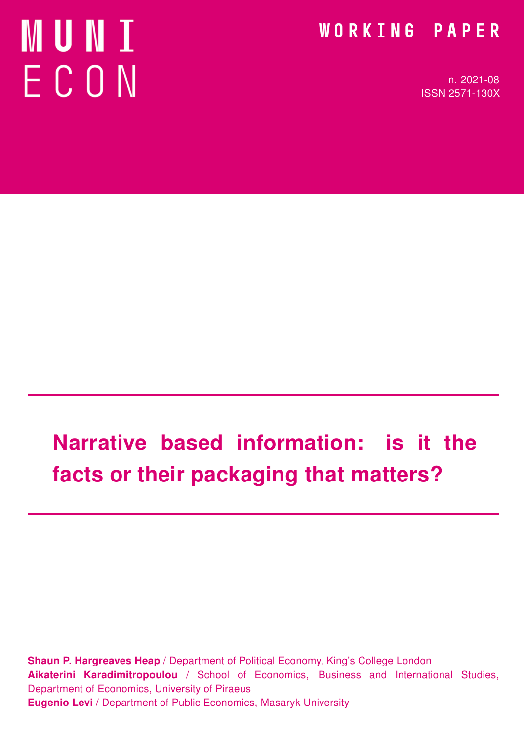# **MUNI** ECON

# WORKING PAPER

n. 2021-08 ISSN 2571-130X

# Narrative based information: is it the facts or their packaging that matters?

Shaun P. Hargreaves Heap / Department of Political Economy, King's College London Aikaterini Karadimitropoulou / School of Economics, Business and International Studies, Department of Economics, University of Piraeus Eugenio Levi / Department of Public Economics, Masaryk University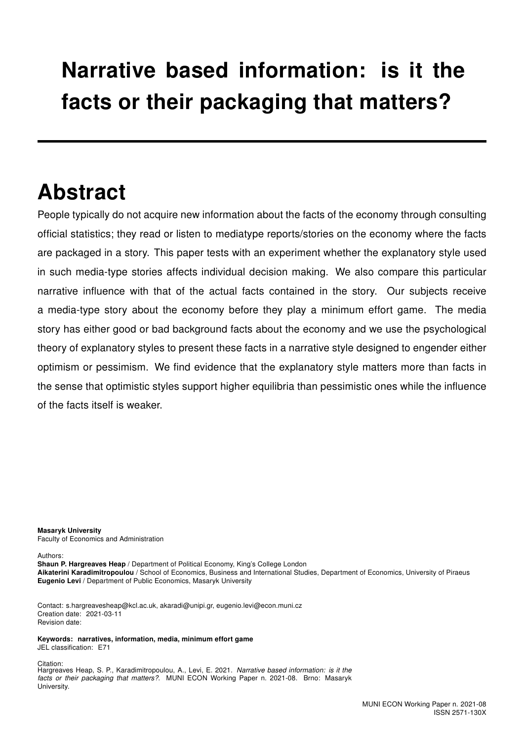# Narrative based information: is it the facts or their packaging that matters?

# Abstract

People typically do not acquire new information about the facts of the economy through consulting official statistics; they read or listen to mediatype reports/stories on the economy where the facts are packaged in a story. This paper tests with an experiment whether the explanatory style used in such media-type stories affects individual decision making. We also compare this particular narrative influence with that of the actual facts contained in the story. Our subjects receive a media-type story about the economy before they play a minimum effort game. The media story has either good or bad background facts about the economy and we use the psychological theory of explanatory styles to present these facts in a narrative style designed to engender either optimism or pessimism. We find evidence that the explanatory style matters more than facts in the sense that optimistic styles support higher equilibria than pessimistic ones while the influence of the facts itself is weaker.

Masaryk University Faculty of Economics and Administration

Authors:

Shaun P. Hargreaves Heap / Department of Political Economy, King's College London Aikaterini Karadimitropoulou / School of Economics, Business and International Studies, Department of Economics, University of Piraeus Eugenio Levi / Department of Public Economics, Masaryk University

Contact: s.hargreavesheap@kcl.ac.uk, akaradi@unipi.gr, eugenio.levi@econ.muni.cz Creation date: 2021-03-11 Revision date:

Keywords: narratives, information, media, minimum effort game JEL classification: E71

Citation: Hargreaves Heap, S. P., Karadimitropoulou, A., Levi, E. 2021. Narrative based information: is it the facts or their packaging that matters?. MUNI ECON Working Paper n. 2021-08. Brno: Masaryk University.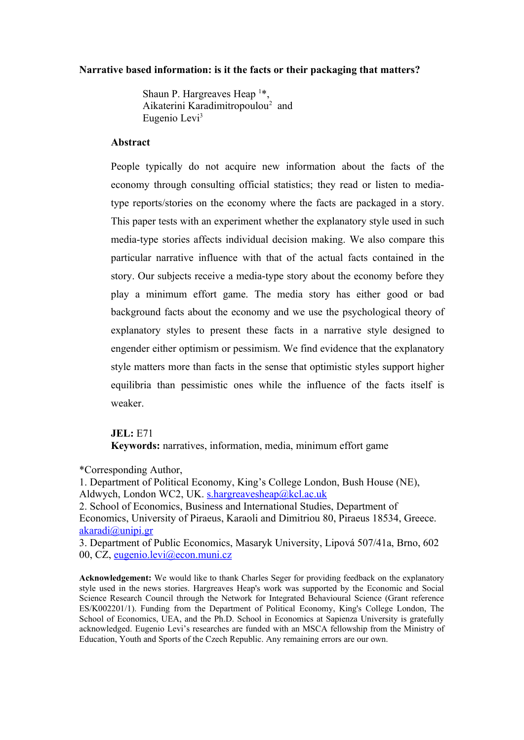#### **Narrative based information: is it the facts or their packaging that matters?**

Shaun P. Hargreaves Heap  $1*$ , Aikaterini Karadimitropoulou<sup>2</sup> and Eugenio Levi<sup>3</sup>

#### **Abstract**

People typically do not acquire new information about the facts of the economy through consulting official statistics; they read or listen to mediatype reports/stories on the economy where the facts are packaged in a story. This paper tests with an experiment whether the explanatory style used in such media-type stories affects individual decision making. We also compare this particular narrative influence with that of the actual facts contained in the story. Our subjects receive a media-type story about the economy before they play a minimum effort game. The media story has either good or bad background facts about the economy and we use the psychological theory of explanatory styles to present these facts in a narrative style designed to engender either optimism or pessimism. We find evidence that the explanatory style matters more than facts in the sense that optimistic styles support higher equilibria than pessimistic ones while the influence of the facts itself is weaker.

#### **JEL:** E71

**Keywords:** narratives, information, media, minimum effort game

\*Corresponding Author,

1. Department of Political Economy, King's College London, Bush House (NE), Aldwych, London WC2, UK. s.hargreavesheap@kcl.ac.uk

2. School of Economics, Business and International Studies, Department of Economics, University of Piraeus, Karaoli and Dimitriou 80, Piraeus 18534, Greece. akaradi@unipi.gr

3. Department of Public Economics, Masaryk University, Lipová 507/41a, Brno, 602 00, CZ, eugenio.levi@econ.muni.cz

**Acknowledgement:** We would like to thank Charles Seger for providing feedback on the explanatory style used in the news stories. Hargreaves Heap's work was supported by the Economic and Social Science Research Council through the Network for Integrated Behavioural Science (Grant reference ES/K002201/1). Funding from the Department of Political Economy, King's College London, The School of Economics, UEA, and the Ph.D. School in Economics at Sapienza University is gratefully acknowledged. Eugenio Levi's researches are funded with an MSCA fellowship from the Ministry of Education, Youth and Sports of the Czech Republic. Any remaining errors are our own.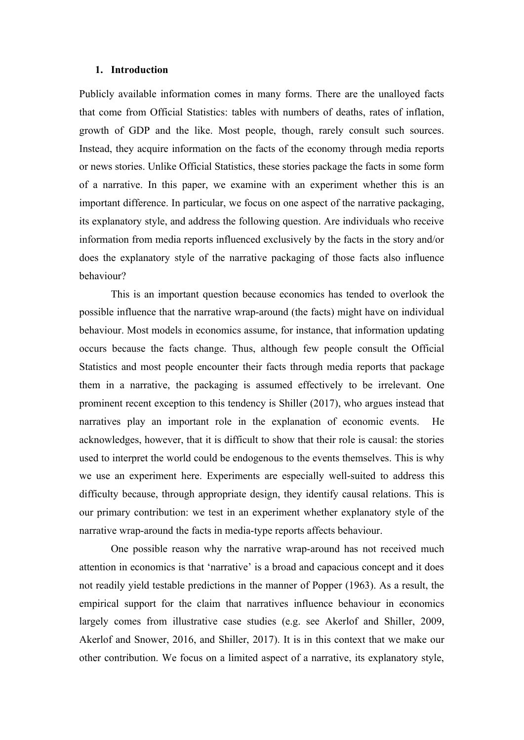#### **1. Introduction**

Publicly available information comes in many forms. There are the unalloyed facts that come from Official Statistics: tables with numbers of deaths, rates of inflation, growth of GDP and the like. Most people, though, rarely consult such sources. Instead, they acquire information on the facts of the economy through media reports or news stories. Unlike Official Statistics, these stories package the facts in some form of a narrative. In this paper, we examine with an experiment whether this is an important difference. In particular, we focus on one aspect of the narrative packaging, its explanatory style, and address the following question. Are individuals who receive information from media reports influenced exclusively by the facts in the story and/or does the explanatory style of the narrative packaging of those facts also influence behaviour?

This is an important question because economics has tended to overlook the possible influence that the narrative wrap-around (the facts) might have on individual behaviour. Most models in economics assume, for instance, that information updating occurs because the facts change. Thus, although few people consult the Official Statistics and most people encounter their facts through media reports that package them in a narrative, the packaging is assumed effectively to be irrelevant. One prominent recent exception to this tendency is Shiller (2017), who argues instead that narratives play an important role in the explanation of economic events. He acknowledges, however, that it is difficult to show that their role is causal: the stories used to interpret the world could be endogenous to the events themselves. This is why we use an experiment here. Experiments are especially well-suited to address this difficulty because, through appropriate design, they identify causal relations. This is our primary contribution: we test in an experiment whether explanatory style of the narrative wrap-around the facts in media-type reports affects behaviour.

One possible reason why the narrative wrap-around has not received much attention in economics is that 'narrative' is a broad and capacious concept and it does not readily yield testable predictions in the manner of Popper (1963). As a result, the empirical support for the claim that narratives influence behaviour in economics largely comes from illustrative case studies (e.g. see Akerlof and Shiller, 2009, Akerlof and Snower, 2016, and Shiller, 2017). It is in this context that we make our other contribution. We focus on a limited aspect of a narrative, its explanatory style,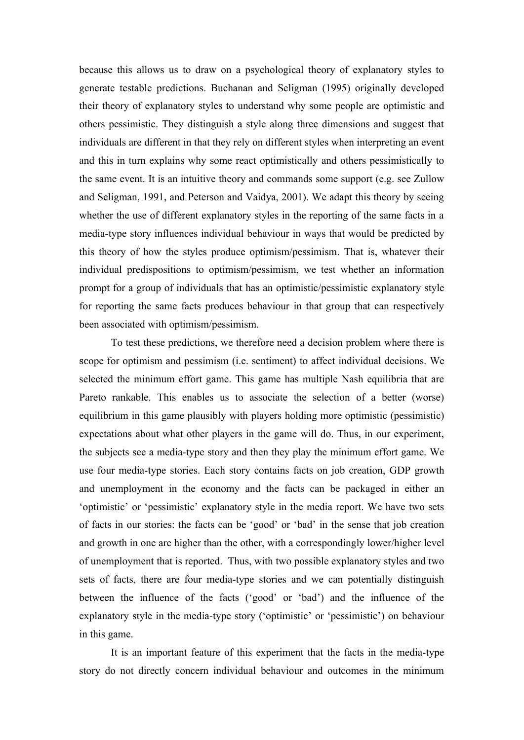because this allows us to draw on a psychological theory of explanatory styles to generate testable predictions. Buchanan and Seligman (1995) originally developed their theory of explanatory styles to understand why some people are optimistic and others pessimistic. They distinguish a style along three dimensions and suggest that individuals are different in that they rely on different styles when interpreting an event and this in turn explains why some react optimistically and others pessimistically to the same event. It is an intuitive theory and commands some support (e.g. see Zullow and Seligman, 1991, and Peterson and Vaidya, 2001). We adapt this theory by seeing whether the use of different explanatory styles in the reporting of the same facts in a media-type story influences individual behaviour in ways that would be predicted by this theory of how the styles produce optimism/pessimism. That is, whatever their individual predispositions to optimism/pessimism, we test whether an information prompt for a group of individuals that has an optimistic/pessimistic explanatory style for reporting the same facts produces behaviour in that group that can respectively been associated with optimism/pessimism.

To test these predictions, we therefore need a decision problem where there is scope for optimism and pessimism (i.e. sentiment) to affect individual decisions. We selected the minimum effort game. This game has multiple Nash equilibria that are Pareto rankable. This enables us to associate the selection of a better (worse) equilibrium in this game plausibly with players holding more optimistic (pessimistic) expectations about what other players in the game will do. Thus, in our experiment, the subjects see a media-type story and then they play the minimum effort game. We use four media-type stories. Each story contains facts on job creation, GDP growth and unemployment in the economy and the facts can be packaged in either an 'optimistic' or 'pessimistic' explanatory style in the media report. We have two sets of facts in our stories: the facts can be 'good' or 'bad' in the sense that job creation and growth in one are higher than the other, with a correspondingly lower/higher level of unemployment that is reported. Thus, with two possible explanatory styles and two sets of facts, there are four media-type stories and we can potentially distinguish between the influence of the facts ('good' or 'bad') and the influence of the explanatory style in the media-type story ('optimistic' or 'pessimistic') on behaviour in this game.

It is an important feature of this experiment that the facts in the media-type story do not directly concern individual behaviour and outcomes in the minimum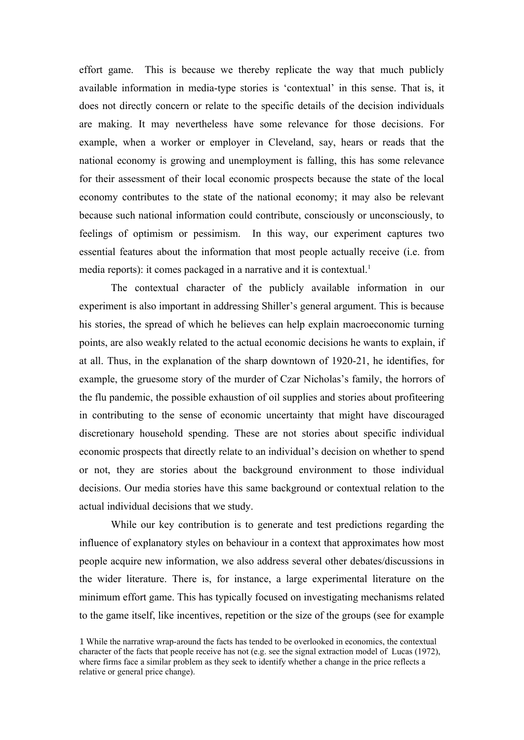effort game. This is because we thereby replicate the way that much publicly available information in media-type stories is 'contextual' in this sense. That is, it does not directly concern or relate to the specific details of the decision individuals are making. It may nevertheless have some relevance for those decisions. For example, when a worker or employer in Cleveland, say, hears or reads that the national economy is growing and unemployment is falling, this has some relevance for their assessment of their local economic prospects because the state of the local economy contributes to the state of the national economy; it may also be relevant because such national information could contribute, consciously or unconsciously, to feelings of optimism or pessimism. In this way, our experiment captures two essential features about the information that most people actually receive (i.e. from media reports): it comes packaged in a narrative and it is contextual.<sup>1</sup>

The contextual character of the publicly available information in our experiment is also important in addressing Shiller's general argument. This is because his stories, the spread of which he believes can help explain macroeconomic turning points, are also weakly related to the actual economic decisions he wants to explain, if at all. Thus, in the explanation of the sharp downtown of 1920-21, he identifies, for example, the gruesome story of the murder of Czar Nicholas's family, the horrors of the flu pandemic, the possible exhaustion of oil supplies and stories about profiteering in contributing to the sense of economic uncertainty that might have discouraged discretionary household spending. These are not stories about specific individual economic prospects that directly relate to an individual's decision on whether to spend or not, they are stories about the background environment to those individual decisions. Our media stories have this same background or contextual relation to the actual individual decisions that we study.

While our key contribution is to generate and test predictions regarding the influence of explanatory styles on behaviour in a context that approximates how most people acquire new information, we also address several other debates/discussions in the wider literature. There is, for instance, a large experimental literature on the minimum effort game. This has typically focused on investigating mechanisms related to the game itself, like incentives, repetition or the size of the groups (see for example

<sup>1</sup> While the narrative wrap-around the facts has tended to be overlooked in economics, the contextual character of the facts that people receive has not (e.g. see the signal extraction model of Lucas (1972), where firms face a similar problem as they seek to identify whether a change in the price reflects a relative or general price change).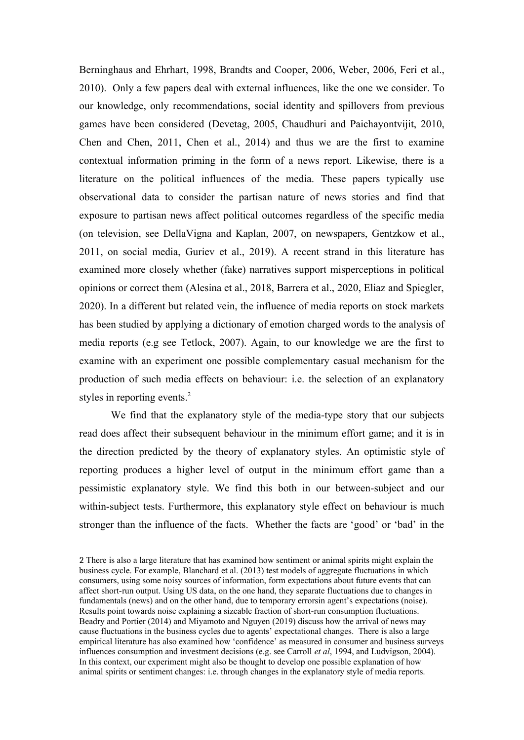Berninghaus and Ehrhart, 1998, Brandts and Cooper, 2006, Weber, 2006, Feri et al., 2010). Only a few papers deal with external influences, like the one we consider. To our knowledge, only recommendations, social identity and spillovers from previous games have been considered (Devetag, 2005, Chaudhuri and Paichayontvijit, 2010, Chen and Chen, 2011, Chen et al., 2014) and thus we are the first to examine contextual information priming in the form of a news report. Likewise, there is a literature on the political influences of the media. These papers typically use observational data to consider the partisan nature of news stories and find that exposure to partisan news affect political outcomes regardless of the specific media (on television, see DellaVigna and Kaplan, 2007, on newspapers, Gentzkow et al., 2011, on social media, Guriev et al., 2019). A recent strand in this literature has examined more closely whether (fake) narratives support misperceptions in political opinions or correct them (Alesina et al., 2018, Barrera et al., 2020, Eliaz and Spiegler, 2020). In a different but related vein, the influence of media reports on stock markets has been studied by applying a dictionary of emotion charged words to the analysis of media reports (e.g see Tetlock, 2007). Again, to our knowledge we are the first to examine with an experiment one possible complementary casual mechanism for the production of such media effects on behaviour: i.e. the selection of an explanatory styles in reporting events.<sup>2</sup>

We find that the explanatory style of the media-type story that our subjects read does affect their subsequent behaviour in the minimum effort game; and it is in the direction predicted by the theory of explanatory styles. An optimistic style of reporting produces a higher level of output in the minimum effort game than a pessimistic explanatory style. We find this both in our between-subject and our within-subject tests. Furthermore, this explanatory style effect on behaviour is much stronger than the influence of the facts. Whether the facts are 'good' or 'bad' in the

<sup>2</sup> There is also a large literature that has examined how sentiment or animal spirits might explain the business cycle. For example, Blanchard et al. (2013) test models of aggregate fluctuations in which consumers, using some noisy sources of information, form expectations about future events that can affect short-run output. Using US data, on the one hand, they separate fluctuations due to changes in fundamentals (news) and on the other hand, due to temporary errorsin agent's expectations (noise). Results point towards noise explaining a sizeable fraction of short-run consumption fluctuations. Beadry and Portier (2014) and Miyamoto and Nguyen (2019) discuss how the arrival of news may cause fluctuations in the business cycles due to agents' expectational changes. There is also a large empirical literature has also examined how 'confidence' as measured in consumer and business surveys influences consumption and investment decisions (e.g. see Carroll *et al*, 1994, and Ludvigson, 2004). In this context, our experiment might also be thought to develop one possible explanation of how animal spirits or sentiment changes: i.e. through changes in the explanatory style of media reports.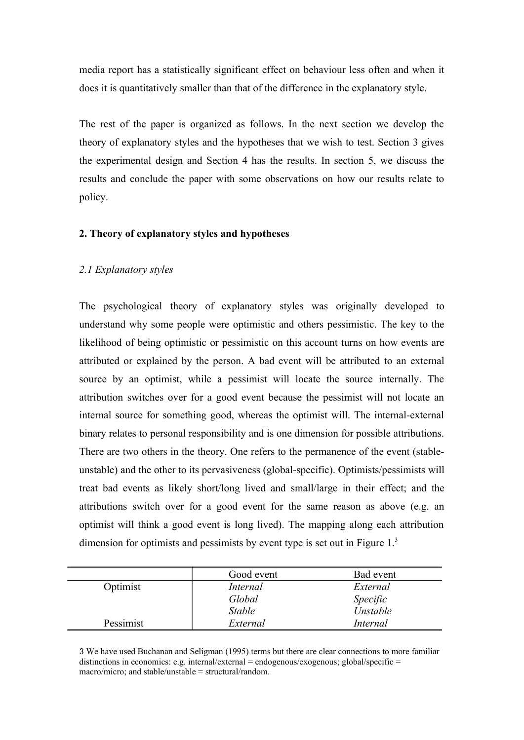media report has a statistically significant effect on behaviour less often and when it does it is quantitatively smaller than that of the difference in the explanatory style.

The rest of the paper is organized as follows. In the next section we develop the theory of explanatory styles and the hypotheses that we wish to test. Section 3 gives the experimental design and Section 4 has the results. In section 5, we discuss the results and conclude the paper with some observations on how our results relate to policy.

#### **2. Theory of explanatory styles and hypotheses**

#### *2.1 Explanatory styles*

The psychological theory of explanatory styles was originally developed to understand why some people were optimistic and others pessimistic. The key to the likelihood of being optimistic or pessimistic on this account turns on how events are attributed or explained by the person. A bad event will be attributed to an external source by an optimist, while a pessimist will locate the source internally. The attribution switches over for a good event because the pessimist will not locate an internal source for something good, whereas the optimist will. The internal-external binary relates to personal responsibility and is one dimension for possible attributions. There are two others in the theory. One refers to the permanence of the event (stableunstable) and the other to its pervasiveness (global-specific). Optimists/pessimists will treat bad events as likely short/long lived and small/large in their effect; and the attributions switch over for a good event for the same reason as above (e.g. an optimist will think a good event is long lived). The mapping along each attribution dimension for optimists and pessimists by event type is set out in Figure 1.<sup>3</sup>

|           | Good event      | Bad event       |
|-----------|-----------------|-----------------|
| Optimist  | <i>Internal</i> | External        |
|           | Global          | Specific        |
|           | <b>Stable</b>   | Unstable        |
| Pessimist | External        | <i>Internal</i> |

3 We have used Buchanan and Seligman (1995) terms but there are clear connections to more familiar distinctions in economics: e.g. internal/external = endogenous/exogenous; global/specific = macro/micro; and stable/unstable = structural/random.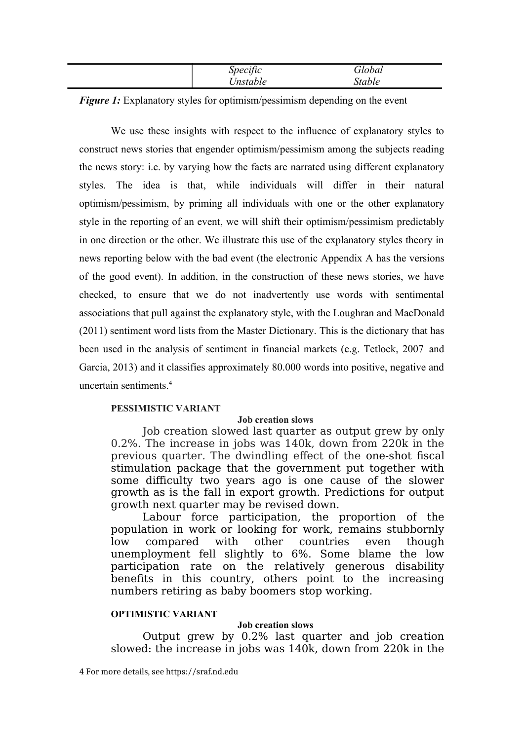| `necific<br>$\overline{\phantom{a}}$ | obal   |
|--------------------------------------|--------|
| 'nstable                             | itable |

*Figure 1:* Explanatory styles for optimism/pessimism depending on the event

We use these insights with respect to the influence of explanatory styles to construct news stories that engender optimism/pessimism among the subjects reading the news story: i.e. by varying how the facts are narrated using different explanatory styles. The idea is that, while individuals will differ in their natural optimism/pessimism, by priming all individuals with one or the other explanatory style in the reporting of an event, we will shift their optimism/pessimism predictably in one direction or the other. We illustrate this use of the explanatory styles theory in news reporting below with the bad event (the electronic Appendix A has the versions of the good event). In addition, in the construction of these news stories, we have checked, to ensure that we do not inadvertently use words with sentimental associations that pull against the explanatory style, with the Loughran and MacDonald (2011) sentiment word lists from the Master Dictionary. This is the dictionary that has been used in the analysis of sentiment in financial markets (e.g. Tetlock, 2007 and Garcia, 2013) and it classifies approximately 80.000 words into positive, negative and uncertain sentiments $4$ 

#### **PESSIMISTIC VARIANT**

#### **Job creation slows**

Job creation slowed last quarter as output grew by only 0.2%. The increase in jobs was 140k, down from 220k in the previous quarter. The dwindling effect of the one-shot fiscal stimulation package that the government put together with some difficulty two years ago is one cause of the slower growth as is the fall in export growth. Predictions for output growth next quarter may be revised down.

Labour force participation, the proportion of the population in work or looking for work, remains stubbornly low compared with other countries even though unemployment fell slightly to 6%. Some blame the low participation rate on the relatively generous disability benefits in this country, others point to the increasing numbers retiring as baby boomers stop working.

#### **OPTIMISTIC VARIANT**

#### **Job creation slows**

Output grew by 0.2% last quarter and job creation slowed: the increase in jobs was 140k, down from 220k in the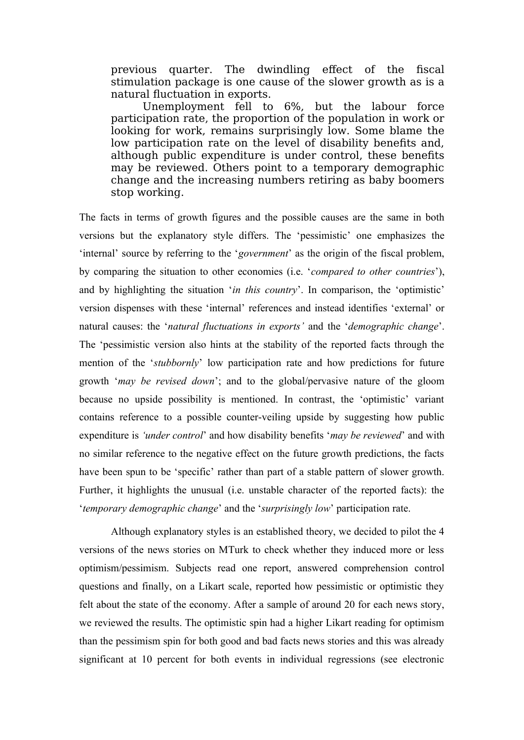previous quarter. The dwindling effect of the fiscal stimulation package is one cause of the slower growth as is a natural fluctuation in exports.

Unemployment fell to 6%, but the labour force participation rate, the proportion of the population in work or looking for work, remains surprisingly low. Some blame the low participation rate on the level of disability benefits and, although public expenditure is under control, these benefits may be reviewed. Others point to a temporary demographic change and the increasing numbers retiring as baby boomers stop working.

The facts in terms of growth figures and the possible causes are the same in both versions but the explanatory style differs. The 'pessimistic' one emphasizes the 'internal' source by referring to the '*government*' as the origin of the fiscal problem, by comparing the situation to other economies (i.e. '*compared to other countries*'), and by highlighting the situation '*in this country*'. In comparison, the 'optimistic' version dispenses with these 'internal' references and instead identifies 'external' or natural causes: the '*natural fluctuations in exports'* and the '*demographic change*'. The 'pessimistic version also hints at the stability of the reported facts through the mention of the '*stubbornly*' low participation rate and how predictions for future growth '*may be revised down*'; and to the global/pervasive nature of the gloom because no upside possibility is mentioned. In contrast, the 'optimistic' variant contains reference to a possible counter-veiling upside by suggesting how public expenditure is *'under control*' and how disability benefits '*may be reviewed*' and with no similar reference to the negative effect on the future growth predictions, the facts have been spun to be 'specific' rather than part of a stable pattern of slower growth. Further, it highlights the unusual (i.e. unstable character of the reported facts): the '*temporary demographic change*' and the '*surprisingly low*' participation rate.

Although explanatory styles is an established theory, we decided to pilot the 4 versions of the news stories on MTurk to check whether they induced more or less optimism/pessimism. Subjects read one report, answered comprehension control questions and finally, on a Likart scale, reported how pessimistic or optimistic they felt about the state of the economy. After a sample of around 20 for each news story, we reviewed the results. The optimistic spin had a higher Likart reading for optimism than the pessimism spin for both good and bad facts news stories and this was already significant at 10 percent for both events in individual regressions (see electronic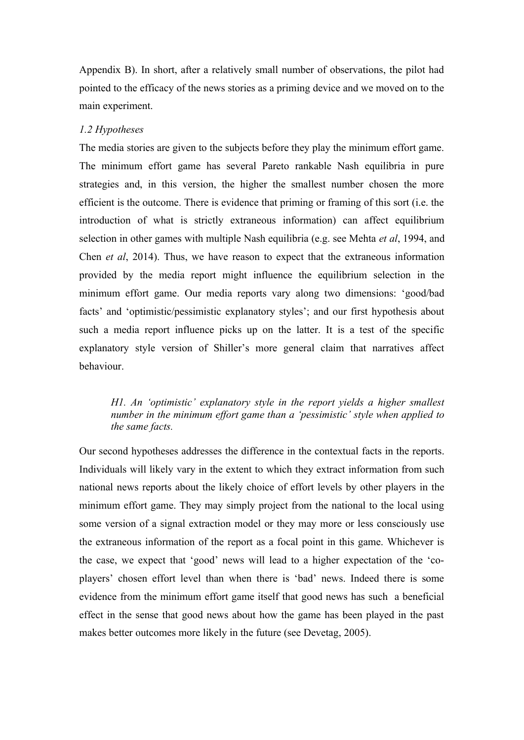Appendix B). In short, after a relatively small number of observations, the pilot had pointed to the efficacy of the news stories as a priming device and we moved on to the main experiment.

#### *1.2 Hypotheses*

The media stories are given to the subjects before they play the minimum effort game. The minimum effort game has several Pareto rankable Nash equilibria in pure strategies and, in this version, the higher the smallest number chosen the more efficient is the outcome. There is evidence that priming or framing of this sort (i.e. the introduction of what is strictly extraneous information) can affect equilibrium selection in other games with multiple Nash equilibria (e.g. see Mehta *et al*, 1994, and Chen *et al*, 2014). Thus, we have reason to expect that the extraneous information provided by the media report might influence the equilibrium selection in the minimum effort game. Our media reports vary along two dimensions: 'good/bad facts' and 'optimistic/pessimistic explanatory styles'; and our first hypothesis about such a media report influence picks up on the latter. It is a test of the specific explanatory style version of Shiller's more general claim that narratives affect behaviour.

### *H1. An 'optimistic' explanatory style in the report yields a higher smallest number in the minimum effort game than a 'pessimistic' style when applied to the same facts.*

Our second hypotheses addresses the difference in the contextual facts in the reports. Individuals will likely vary in the extent to which they extract information from such national news reports about the likely choice of effort levels by other players in the minimum effort game. They may simply project from the national to the local using some version of a signal extraction model or they may more or less consciously use the extraneous information of the report as a focal point in this game. Whichever is the case, we expect that 'good' news will lead to a higher expectation of the 'coplayers' chosen effort level than when there is 'bad' news. Indeed there is some evidence from the minimum effort game itself that good news has such a beneficial effect in the sense that good news about how the game has been played in the past makes better outcomes more likely in the future (see Devetag, 2005).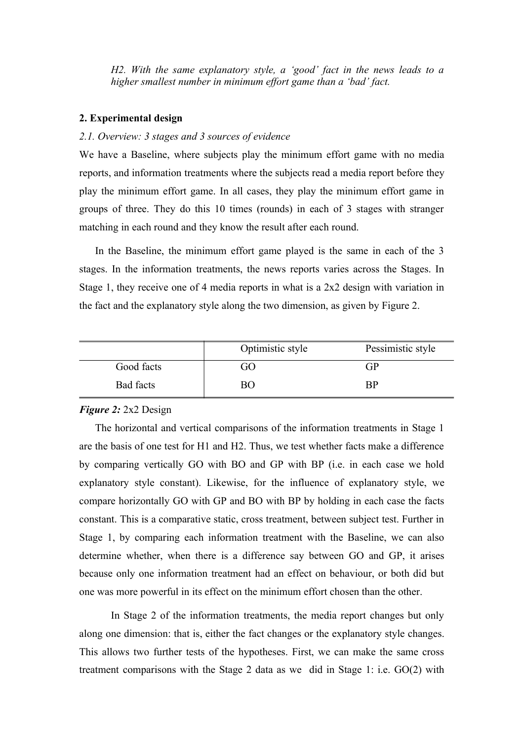*H2. With the same explanatory style, a 'good' fact in the news leads to a higher smallest number in minimum effort game than a 'bad' fact.*

#### **2. Experimental design**

#### *2.1. Overview: 3 stages and 3 sources of evidence*

We have a Baseline, where subjects play the minimum effort game with no media reports, and information treatments where the subjects read a media report before they play the minimum effort game. In all cases, they play the minimum effort game in groups of three. They do this 10 times (rounds) in each of 3 stages with stranger matching in each round and they know the result after each round.

In the Baseline, the minimum effort game played is the same in each of the 3 stages. In the information treatments, the news reports varies across the Stages. In Stage 1, they receive one of 4 media reports in what is a 2x2 design with variation in the fact and the explanatory style along the two dimension, as given by Figure 2.

|            | Optimistic style | Pessimistic style       |
|------------|------------------|-------------------------|
| Good facts | GО               | GP                      |
| Bad facts  | 3U               | $\mathbf{B} \mathbf{P}$ |

#### *Figure 2:* 2x2 Design

The horizontal and vertical comparisons of the information treatments in Stage 1 are the basis of one test for H1 and H2. Thus, we test whether facts make a difference by comparing vertically GO with BO and GP with BP (i.e. in each case we hold explanatory style constant). Likewise, for the influence of explanatory style, we compare horizontally GO with GP and BO with BP by holding in each case the facts constant. This is a comparative static, cross treatment, between subject test. Further in Stage 1, by comparing each information treatment with the Baseline, we can also determine whether, when there is a difference say between GO and GP, it arises because only one information treatment had an effect on behaviour, or both did but one was more powerful in its effect on the minimum effort chosen than the other.

In Stage 2 of the information treatments, the media report changes but only along one dimension: that is, either the fact changes or the explanatory style changes. This allows two further tests of the hypotheses. First, we can make the same cross treatment comparisons with the Stage 2 data as we did in Stage 1: i.e. GO(2) with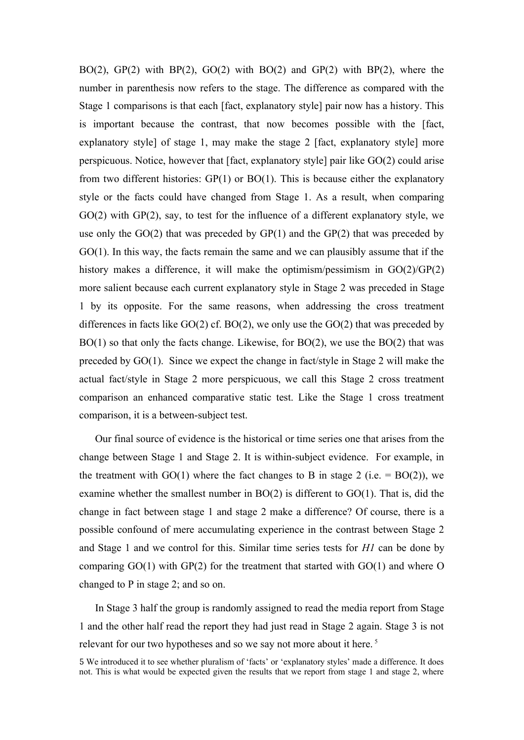BO(2), GP(2) with BP(2), GO(2) with BO(2) and GP(2) with BP(2), where the number in parenthesis now refers to the stage. The difference as compared with the Stage 1 comparisons is that each [fact, explanatory style] pair now has a history. This is important because the contrast, that now becomes possible with the [fact, explanatory style] of stage 1, may make the stage 2 [fact, explanatory style] more perspicuous. Notice, however that [fact, explanatory style] pair like GO(2) could arise from two different histories: GP(1) or BO(1). This is because either the explanatory style or the facts could have changed from Stage 1. As a result, when comparing GO(2) with GP(2), say, to test for the influence of a different explanatory style, we use only the  $GO(2)$  that was preceded by  $GP(1)$  and the  $GP(2)$  that was preceded by GO(1). In this way, the facts remain the same and we can plausibly assume that if the history makes a difference, it will make the optimism/pessimism in GO(2)/GP(2) more salient because each current explanatory style in Stage 2 was preceded in Stage 1 by its opposite. For the same reasons, when addressing the cross treatment differences in facts like  $GO(2)$  cf.  $BO(2)$ , we only use the  $GO(2)$  that was preceded by BO(1) so that only the facts change. Likewise, for BO(2), we use the BO(2) that was preceded by GO(1). Since we expect the change in fact/style in Stage 2 will make the actual fact/style in Stage 2 more perspicuous, we call this Stage 2 cross treatment comparison an enhanced comparative static test. Like the Stage 1 cross treatment comparison, it is a between-subject test.

Our final source of evidence is the historical or time series one that arises from the change between Stage 1 and Stage 2. It is within-subject evidence. For example, in the treatment with  $GO(1)$  where the fact changes to B in stage 2 (i.e. =  $BO(2)$ ), we examine whether the smallest number in BO(2) is different to GO(1). That is, did the change in fact between stage 1 and stage 2 make a difference? Of course, there is a possible confound of mere accumulating experience in the contrast between Stage 2 and Stage 1 and we control for this. Similar time series tests for *H1* can be done by comparing  $GO(1)$  with  $GP(2)$  for the treatment that started with  $GO(1)$  and where O changed to P in stage 2; and so on.

In Stage 3 half the group is randomly assigned to read the media report from Stage 1 and the other half read the report they had just read in Stage 2 again. Stage 3 is not relevant for our two hypotheses and so we say not more about it here.<sup>5</sup>

<sup>5</sup> We introduced it to see whether pluralism of 'facts' or 'explanatory styles' made a difference. It does not. This is what would be expected given the results that we report from stage 1 and stage 2, where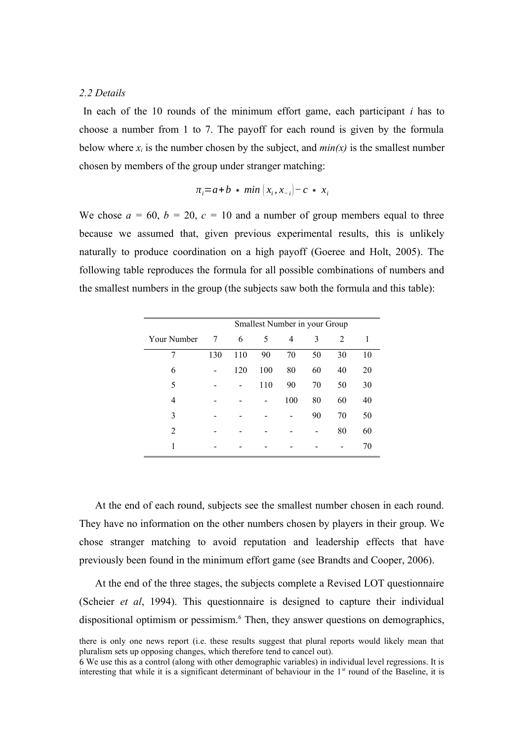#### *2.2 Details*

In each of the 10 rounds of the minimum effort game, each participant *i* has to choose a number from 1 to 7. The payoff for each round is given by the formula below where  $x_i$  is the number chosen by the subject, and  $min(x)$  is the smallest number chosen by members of the group under stranger matching:

$$
\pi_i = a + b \cdot \min\left(x_i, x_{-i}\right) - c \cdot x_i
$$

We chose  $a = 60$ ,  $b = 20$ ,  $c = 10$  and a number of group members equal to three because we assumed that, given previous experimental results, this is unlikely naturally to produce coordination on a high payoff (Goeree and Holt, 2005). The following table reproduces the formula for all possible combinations of numbers and the smallest numbers in the group (the subjects saw both the formula and this table):

|                |     |     |     | Smallest Number in your Group |    |    |    |
|----------------|-----|-----|-----|-------------------------------|----|----|----|
| Your Number    | 7   | 6   | 5   | 4                             | 3  | 2  | 1  |
| 7              | 130 | 110 | 90  | 70                            | 50 | 30 | 10 |
| 6              |     | 120 | 100 | 80                            | 60 | 40 | 20 |
| 5              |     |     | 110 | 90                            | 70 | 50 | 30 |
| 4              |     |     |     | 100                           | 80 | 60 | 40 |
| 3              |     |     |     |                               | 90 | 70 | 50 |
| $\overline{2}$ |     |     |     |                               |    | 80 | 60 |
|                |     |     |     |                               |    |    | 70 |

At the end of each round, subjects see the smallest number chosen in each round. They have no information on the other numbers chosen by players in their group. We chose stranger matching to avoid reputation and leadership effects that have previously been found in the minimum effort game (see Brandts and Cooper, 2006).

At the end of the three stages, the subjects complete a Revised LOT questionnaire (Scheier *et al*, 1994). This questionnaire is designed to capture their individual dispositional optimism or pessimism.<sup>6</sup> Then, they answer questions on demographics,

there is only one news report (i.e. these results suggest that plural reports would likely mean that pluralism sets up opposing changes, which therefore tend to cancel out).

<sup>6</sup> We use this as a control (along with other demographic variables) in individual level regressions. It is interesting that while it is a significant determinant of behaviour in the 1<sup>st</sup> round of the Baseline, it is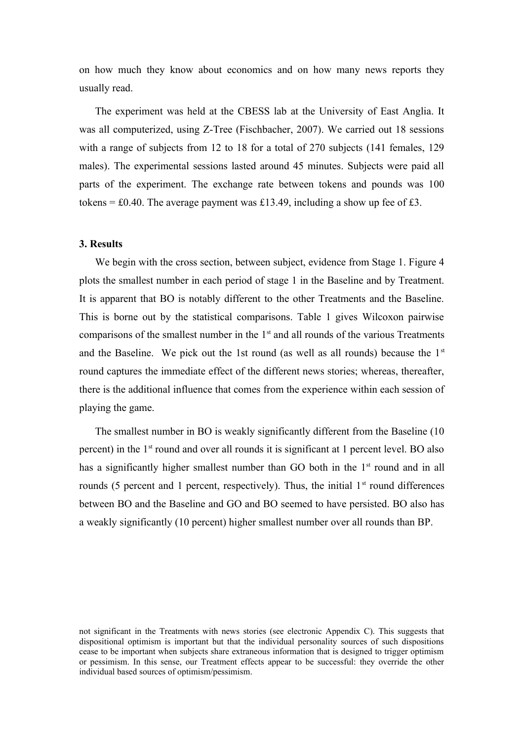on how much they know about economics and on how many news reports they usually read.

The experiment was held at the CBESS lab at the University of East Anglia. It was all computerized, using Z-Tree (Fischbacher, 2007). We carried out 18 sessions with a range of subjects from 12 to 18 for a total of 270 subjects (141 females, 129 males). The experimental sessions lasted around 45 minutes. Subjects were paid all parts of the experiment. The exchange rate between tokens and pounds was 100 tokens =  $\text{\pounds}0.40$ . The average payment was £13.49, including a show up fee of £3.

#### **3. Results**

We begin with the cross section, between subject, evidence from Stage 1. Figure 4 plots the smallest number in each period of stage 1 in the Baseline and by Treatment. It is apparent that BO is notably different to the other Treatments and the Baseline. This is borne out by the statistical comparisons. Table 1 gives Wilcoxon pairwise comparisons of the smallest number in the  $1<sup>st</sup>$  and all rounds of the various Treatments and the Baseline. We pick out the 1st round (as well as all rounds) because the  $1<sup>st</sup>$ round captures the immediate effect of the different news stories; whereas, thereafter, there is the additional influence that comes from the experience within each session of playing the game.

The smallest number in BO is weakly significantly different from the Baseline (10 percent) in the 1st round and over all rounds it is significant at 1 percent level. BO also has a significantly higher smallest number than GO both in the  $1<sup>st</sup>$  round and in all rounds (5 percent and 1 percent, respectively). Thus, the initial  $1<sup>st</sup>$  round differences between BO and the Baseline and GO and BO seemed to have persisted. BO also has a weakly significantly (10 percent) higher smallest number over all rounds than BP.

not significant in the Treatments with news stories (see electronic Appendix C). This suggests that dispositional optimism is important but that the individual personality sources of such dispositions cease to be important when subjects share extraneous information that is designed to trigger optimism or pessimism. In this sense, our Treatment effects appear to be successful: they override the other individual based sources of optimism/pessimism.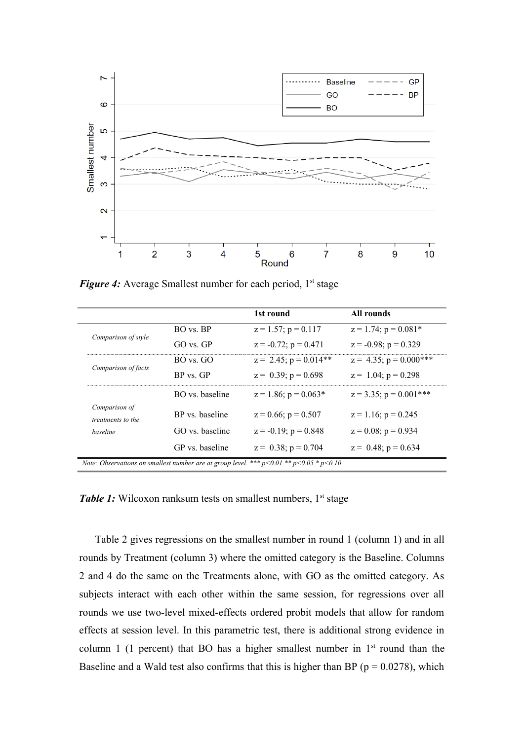

*Figure 4:* Average Smallest number for each period, 1<sup>st</sup> stage

|                                                                                               |                 | 1st round                  | All rounds                   |  |  |
|-----------------------------------------------------------------------------------------------|-----------------|----------------------------|------------------------------|--|--|
| Comparison of style                                                                           | BO vs BP        | $z = 1.57$ ; $p = 0.117$   | $z = 1.74$ ; $p = 0.081*$    |  |  |
|                                                                                               | $GO$ vs $GP$    | $z = -0.72$ ; $p = 0.471$  | $z = -0.98$ ; $p = 0.329$    |  |  |
| Comparison of facts                                                                           | $BO$ vs. $G()$  | $z = 2.45$ ; $p = 0.014**$ | $z = 4.35$ ; $p = 0.000$ *** |  |  |
|                                                                                               | BP vs GP        | $z = 0.39$ ; $p = 0.698$   | $z = 1.04$ ; $p = 0.298$     |  |  |
|                                                                                               | BO vs baseline  | $z = 1.86$ ; $p = 0.063*$  | $z = 3.35$ ; $p = 0.001$ *** |  |  |
| Comparison of<br><i>treatments to the</i>                                                     | BP vs baseline  | $z = 0.66$ ; $p = 0.507$   | $z = 1.16$ ; $p = 0.245$     |  |  |
| <i>baseline</i>                                                                               | GO vs baseline  | $z = -0.19$ ; $p = 0.848$  | $z = 0.08$ ; $p = 0.934$     |  |  |
|                                                                                               | GP vs. baseline | $z = 0.38$ ; $p = 0.704$   | $z = 0.48$ ; $p = 0.634$     |  |  |
| Note: Observations on smallest number are at group level. *** $p<0.01$ ** $p<0.05$ * $p<0.10$ |                 |                            |                              |  |  |

*Table 1:* Wilcoxon ranksum tests on smallest numbers, 1<sup>st</sup> stage

Table 2 gives regressions on the smallest number in round 1 (column 1) and in all rounds by Treatment (column 3) where the omitted category is the Baseline. Columns 2 and 4 do the same on the Treatments alone, with GO as the omitted category. As subjects interact with each other within the same session, for regressions over all rounds we use two-level mixed-effects ordered probit models that allow for random effects at session level. In this parametric test, there is additional strong evidence in column 1 (1 percent) that BO has a higher smallest number in  $1<sup>st</sup>$  round than the Baseline and a Wald test also confirms that this is higher than BP ( $p = 0.0278$ ), which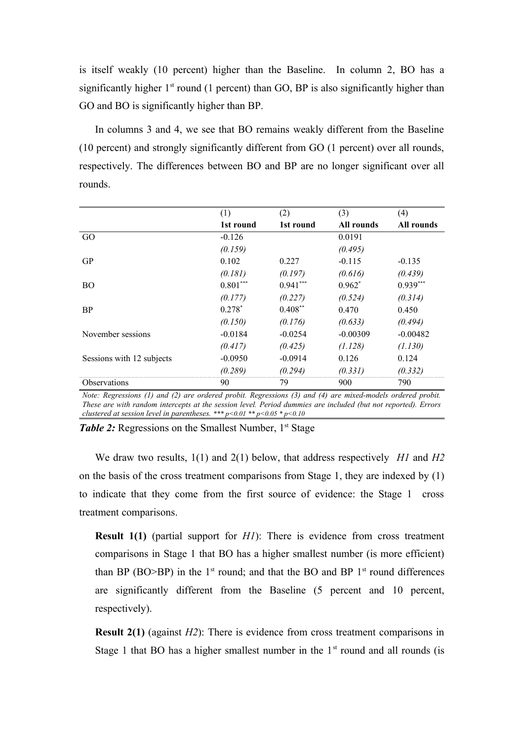is itself weakly (10 percent) higher than the Baseline. In column 2, BO has a significantly higher  $1<sup>st</sup>$  round (1 percent) than GO, BP is also significantly higher than GO and BO is significantly higher than BP.

In columns 3 and 4, we see that BO remains weakly different from the Baseline (10 percent) and strongly significantly different from GO (1 percent) over all rounds, respectively. The differences between BO and BP are no longer significant over all rounds.

|                           | (1)        | (2)        | (3)        | (4)        |
|---------------------------|------------|------------|------------|------------|
|                           | 1st round  | 1st round  | All rounds | All rounds |
| GO                        | $-0.126$   |            | 0.0191     |            |
|                           | (0.159)    |            | (0.495)    |            |
| <b>GP</b>                 | 0.102      | 0.227      | $-0.115$   | $-0.135$   |
|                           | (0.181)    | (0.197)    | (0.616)    | (0.439)    |
| <b>BO</b>                 | $0.801***$ | $0.941***$ | $0.962^*$  | $0.939***$ |
|                           | (0.177)    | (0.227)    | (0.524)    | (0.314)    |
| <b>BP</b>                 | $0.278*$   | $0.408**$  | 0.470      | 0.450      |
|                           | (0.150)    | (0.176)    | (0.633)    | (0.494)    |
| November sessions         | $-0.0184$  | $-0.0254$  | $-0.00309$ | $-0.00482$ |
|                           | (0.417)    | (0.425)    | (1.128)    | (1.130)    |
| Sessions with 12 subjects | $-0.0950$  | $-0.0914$  | 0.126      | 0.124      |
|                           | (0.289)    | (0.294)    | (0.331)    | (0.332)    |
| Observations              | 90         | 79         | 900        | 790        |
| $x = \sqrt{2}$            |            |            |            |            |

*Note: Regressions (1) and (2) are ordered probit. Regressions (3) and (4) are mixed-models ordered probit. These are with random intercepts at the session level. Period dummies are included (but not reported). Errors clustered at session level in parentheses. \*\*\* p<0.01 \*\* p<0.05 \* p<0.10*

*Table 2:* Regressions on the Smallest Number, 1<sup>st</sup> Stage

We draw two results, 1(1) and 2(1) below, that address respectively *H1* and *H2* on the basis of the cross treatment comparisons from Stage 1, they are indexed by (1) to indicate that they come from the first source of evidence: the Stage 1 cross treatment comparisons.

**Result 1(1)** (partial support for *H1*): There is evidence from cross treatment comparisons in Stage 1 that BO has a higher smallest number (is more efficient) than BP (BO $>$ BP) in the 1<sup>st</sup> round; and that the BO and BP 1<sup>st</sup> round differences are significantly different from the Baseline (5 percent and 10 percent, respectively).

**Result 2(1)** (against *H2*): There is evidence from cross treatment comparisons in Stage 1 that BO has a higher smallest number in the  $1<sup>st</sup>$  round and all rounds (is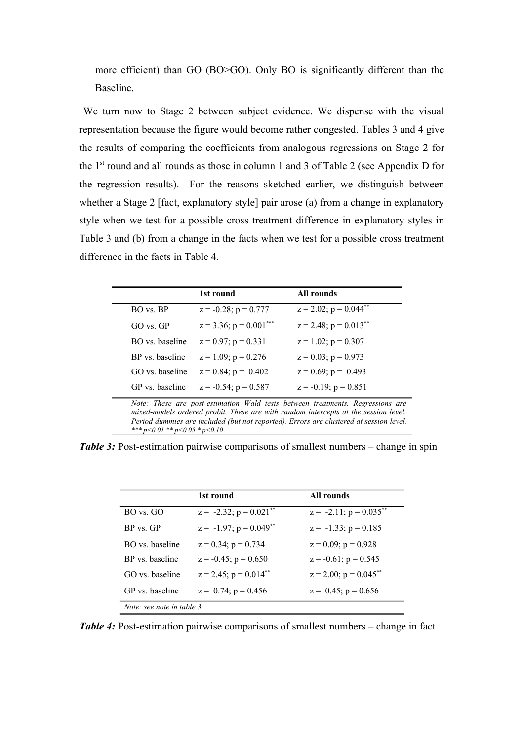more efficient) than GO (BO>GO). Only BO is significantly different than the Baseline.

We turn now to Stage 2 between subject evidence. We dispense with the visual representation because the figure would become rather congested. Tables 3 and 4 give the results of comparing the coefficients from analogous regressions on Stage 2 for the  $1<sup>st</sup>$  round and all rounds as those in column 1 and 3 of Table 2 (see Appendix D for the regression results). For the reasons sketched earlier, we distinguish between whether a Stage 2 [fact, explanatory style] pair arose (a) from a change in explanatory style when we test for a possible cross treatment difference in explanatory styles in Table 3 and (b) from a change in the facts when we test for a possible cross treatment difference in the facts in Table 4.

|                                                                                                                                                                       | 1st round                    | All rounds                             |  |  |
|-----------------------------------------------------------------------------------------------------------------------------------------------------------------------|------------------------------|----------------------------------------|--|--|
| BO vs. BP                                                                                                                                                             | $z = -0.28$ ; $p = 0.777$    | $z = 2.02$ ; $p = 0.044$ <sup>**</sup> |  |  |
| $GO$ vs $GP$                                                                                                                                                          | $z = 3.36$ ; $p = 0.001$ *** | $z = 2.48$ ; $p = 0.013$ <sup>**</sup> |  |  |
| BO vs. baseline                                                                                                                                                       | $z = 0.97$ ; $p = 0.331$     | $z = 1.02$ ; $p = 0.307$               |  |  |
| BP vs. baseline                                                                                                                                                       | $z = 1.09$ ; $p = 0.276$     | $z = 0.03$ ; $p = 0.973$               |  |  |
| GO vs. baseline                                                                                                                                                       | $z = 0.84$ ; $p = 0.402$     | $z = 0.69$ ; $p = 0.493$               |  |  |
| GP vs. baseline                                                                                                                                                       | $z = -0.54$ ; $p = 0.587$    | $z = -0.19$ ; $p = 0.851$              |  |  |
| Note: These are post-estimation Wald tests between treatments. Regressions are<br>mixed-models ordered probit. These are with random intercepts at the session level. |                              |                                        |  |  |

*Period dummies are included (but not reported). Errors are clustered at session level. \*\*\* p<0.01 \*\* p<0.05 \* p<0.10*

*Table 3:* Post-estimation pairwise comparisons of smallest numbers – change in spin

|                            | 1st round                               | All rounds                   |
|----------------------------|-----------------------------------------|------------------------------|
| BO vs. GO                  | $z = -2.32$ ; $p = 0.021$ <sup>**</sup> | $z = -2.11$ ; $p = 0.035$ ** |
| BP vs. GP                  | $z = -1.97$ ; $p = 0.049$ **            | $z = -1.33$ ; $p = 0.185$    |
| BO vs baseline             | $z = 0.34$ ; $p = 0.734$                | $z = 0.09$ ; $p = 0.928$     |
| BP vs. baseline            | $z = -0.45$ ; $p = 0.650$               | $z = -0.61$ ; $p = 0.545$    |
| GO vs. baseline            | $z = 2.45$ ; $p = 0.014$ <sup>**</sup>  | $z = 2.00$ ; $p = 0.045$ **  |
| GP vs. baseline            | $z = 0.74$ ; $p = 0.456$                | $z = 0.45$ ; $p = 0.656$     |
| Note: see note in table 3. |                                         |                              |

*Table 4:* Post-estimation pairwise comparisons of smallest numbers – change in fact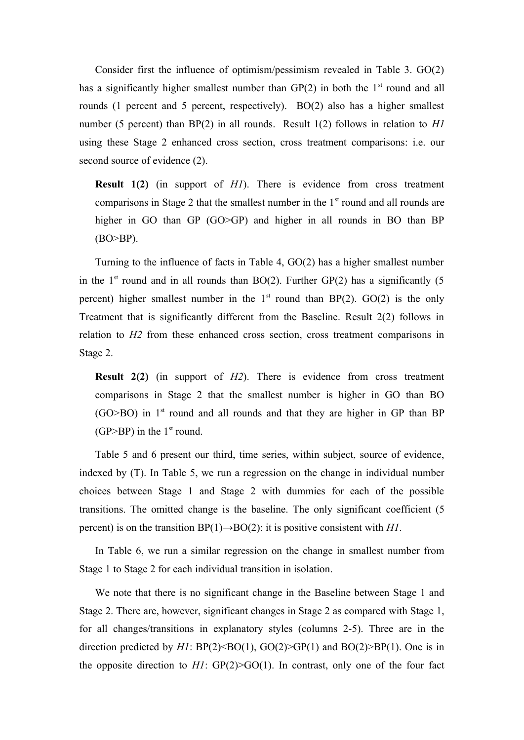Consider first the influence of optimism/pessimism revealed in Table 3. GO(2) has a significantly higher smallest number than  $GP(2)$  in both the  $1<sup>st</sup>$  round and all rounds (1 percent and 5 percent, respectively). BO(2) also has a higher smallest number (5 percent) than BP(2) in all rounds. Result 1(2) follows in relation to *H1* using these Stage 2 enhanced cross section, cross treatment comparisons: i.e. our second source of evidence (2).

**Result 1(2)** (in support of *H1*). There is evidence from cross treatment comparisons in Stage 2 that the smallest number in the  $1<sup>st</sup>$  round and all rounds are higher in GO than GP (GO>GP) and higher in all rounds in BO than BP (BO>BP).

Turning to the influence of facts in Table 4, GO(2) has a higher smallest number in the  $1<sup>st</sup>$  round and in all rounds than BO(2). Further GP(2) has a significantly (5) percent) higher smallest number in the  $1<sup>st</sup>$  round than BP(2). GO(2) is the only Treatment that is significantly different from the Baseline. Result 2(2) follows in relation to *H2* from these enhanced cross section, cross treatment comparisons in Stage 2.

**Result 2(2)** (in support of *H2*). There is evidence from cross treatment comparisons in Stage 2 that the smallest number is higher in GO than BO  $(GO>BO)$  in 1<sup>st</sup> round and all rounds and that they are higher in GP than BP (GP>BP) in the  $1<sup>st</sup>$  round.

Table 5 and 6 present our third, time series, within subject, source of evidence, indexed by (T). In Table 5, we run a regression on the change in individual number choices between Stage 1 and Stage 2 with dummies for each of the possible transitions. The omitted change is the baseline. The only significant coefficient (5 percent) is on the transition  $BP(1) \rightarrow BO(2)$ : it is positive consistent with *H1*.

In Table 6, we run a similar regression on the change in smallest number from Stage 1 to Stage 2 for each individual transition in isolation.

We note that there is no significant change in the Baseline between Stage 1 and Stage 2. There are, however, significant changes in Stage 2 as compared with Stage 1, for all changes/transitions in explanatory styles (columns 2-5). Three are in the direction predicted by  $HI$ :  $BP(2) \leq BO(1)$ ,  $GO(2) \geq GP(1)$  and  $BO(2) \geq BP(1)$ . One is in the opposite direction to  $HI$ :  $GP(2) > GO(1)$ . In contrast, only one of the four fact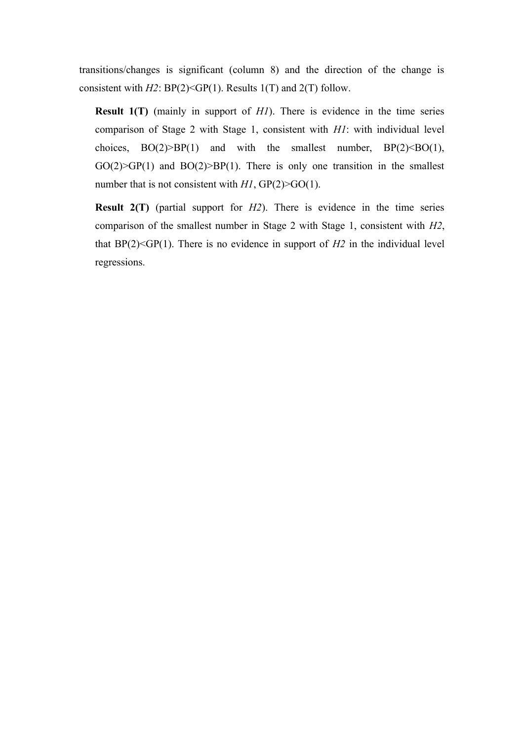transitions/changes is significant (column 8) and the direction of the change is consistent with *H2*: BP(2)<GP(1). Results 1(T) and 2(T) follow.

**Result 1(T)** (mainly in support of *H1*). There is evidence in the time series comparison of Stage 2 with Stage 1, consistent with *H1*: with individual level choices,  $BO(2) > BP(1)$  and with the smallest number,  $BP(2) < BO(1)$ ,  $GO(2) > GP(1)$  and  $BO(2) > BP(1)$ . There is only one transition in the smallest number that is not consistent with *H1*, GP(2)>GO(1).

**Result 2(T)** (partial support for *H2*). There is evidence in the time series comparison of the smallest number in Stage 2 with Stage 1, consistent with *H2*, that  $BP(2) \leq GP(1)$ . There is no evidence in support of  $H2$  in the individual level regressions.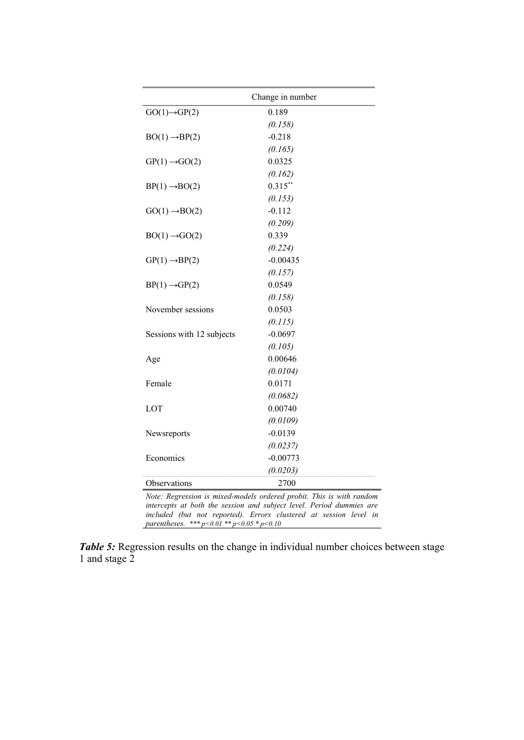|                                                        | Change in number                                                                                                                                                                                                  |
|--------------------------------------------------------|-------------------------------------------------------------------------------------------------------------------------------------------------------------------------------------------------------------------|
| $GO(1) \rightarrow GP(2)$                              | 0.189                                                                                                                                                                                                             |
|                                                        | (0.158)                                                                                                                                                                                                           |
| $BO(1) \rightarrow BP(2)$                              | $-0.218$                                                                                                                                                                                                          |
|                                                        | (0.165)                                                                                                                                                                                                           |
| $GP(1) \rightarrow GO(2)$                              | 0.0325                                                                                                                                                                                                            |
|                                                        | (0.162)                                                                                                                                                                                                           |
| $BP(1) \rightarrow BO(2)$                              | $0.315***$                                                                                                                                                                                                        |
|                                                        | (0.153)                                                                                                                                                                                                           |
| $GO(1) \rightarrow BO(2)$                              | $-0.112$                                                                                                                                                                                                          |
|                                                        | (0.209)                                                                                                                                                                                                           |
| $BO(1) \rightarrow GO(2)$                              | 0.339                                                                                                                                                                                                             |
|                                                        | (0.224)                                                                                                                                                                                                           |
| $GP(1) \rightarrow BP(2)$                              | $-0.00435$                                                                                                                                                                                                        |
|                                                        | (0.157)                                                                                                                                                                                                           |
| $BP(1) \rightarrow GP(2)$                              | 0.0549                                                                                                                                                                                                            |
|                                                        | (0.158)                                                                                                                                                                                                           |
| November sessions                                      | 0.0503                                                                                                                                                                                                            |
|                                                        | (0.115)                                                                                                                                                                                                           |
| Sessions with 12 subjects                              | $-0.0697$                                                                                                                                                                                                         |
|                                                        | (0.105)                                                                                                                                                                                                           |
| Age                                                    | 0.00646                                                                                                                                                                                                           |
|                                                        | (0.0104)                                                                                                                                                                                                          |
| Female                                                 | 0.0171                                                                                                                                                                                                            |
|                                                        | (0.0682)                                                                                                                                                                                                          |
| LOT                                                    | 0.00740                                                                                                                                                                                                           |
|                                                        | (0.0109)                                                                                                                                                                                                          |
| Newsreports                                            | $-0.0139$                                                                                                                                                                                                         |
|                                                        | (0.0237)                                                                                                                                                                                                          |
| Economics                                              | $-0.00773$                                                                                                                                                                                                        |
|                                                        | (0.0203)                                                                                                                                                                                                          |
| Observations                                           | 2700                                                                                                                                                                                                              |
| parentheses. *** $p < 0.01$ ** $p < 0.05$ * $p < 0.10$ | Note: Regression is mixed-models ordered probit. This is with random<br>intercepts at both the session and subject level. Period dummies are<br>included (but not reported). Errors clustered at session level in |

*Table 5:* Regression results on the change in individual number choices between stage 1 and stage 2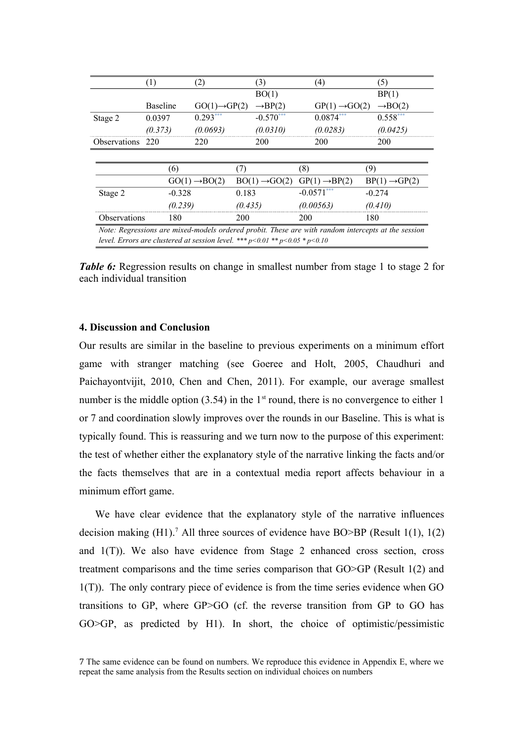|                                                                                                    | (1)             | (2)                       |         | (3)                       | (4)                       | (5)                       |
|----------------------------------------------------------------------------------------------------|-----------------|---------------------------|---------|---------------------------|---------------------------|---------------------------|
|                                                                                                    |                 |                           |         | BO(1)                     |                           | BP(1)                     |
|                                                                                                    | <b>Baseline</b> | $GO(1) \rightarrow GP(2)$ |         | $\rightarrow BP(2)$       | $GP(1) \rightarrow GO(2)$ | $\rightarrow$ BO(2)       |
| Stage 2                                                                                            | 0.0397          | $0.293***$                |         | $-0.570***$               | $0.0874***$               | $0.558***$                |
|                                                                                                    | (0.373)         | (0.0693)                  |         | (0.0310)                  | (0.0283)                  | (0.0425)                  |
| Observations 220                                                                                   |                 | 220                       |         | <b>200</b>                | 200                       | 200                       |
|                                                                                                    |                 |                           |         |                           |                           |                           |
|                                                                                                    | (6)             |                           | (7)     |                           | (8)                       | (9)                       |
|                                                                                                    |                 | $GO(1) \rightarrow BO(2)$ |         | $BO(1) \rightarrow GO(2)$ | $GP(1) \rightarrow BP(2)$ | $BP(1) \rightarrow GP(2)$ |
| Stage 2                                                                                            | $-0.328$        |                           | 0.183   |                           | $-0.0571***$              | $-0.274$                  |
|                                                                                                    | (0.239)         |                           | (0.435) |                           | (0.00563)                 | (0.410)                   |
| <b>Observations</b>                                                                                | 180             |                           | 200     |                           | 200                       | 180                       |
| Note: Regressions are mixed-models ordered probit. These are with random intercepts at the session |                 |                           |         |                           |                           |                           |
| level. Errors are clustered at session level. *** $p<0.01$ ** $p<0.05$ * $p<0.10$                  |                 |                           |         |                           |                           |                           |

*Table 6:* Regression results on change in smallest number from stage 1 to stage 2 for each individual transition

#### **4. Discussion and Conclusion**

Our results are similar in the baseline to previous experiments on a minimum effort game with stranger matching (see Goeree and Holt, 2005, Chaudhuri and Paichayontvijit, 2010, Chen and Chen, 2011). For example, our average smallest number is the middle option  $(3.54)$  in the 1<sup>st</sup> round, there is no convergence to either 1 or 7 and coordination slowly improves over the rounds in our Baseline. This is what is typically found. This is reassuring and we turn now to the purpose of this experiment: the test of whether either the explanatory style of the narrative linking the facts and/or the facts themselves that are in a contextual media report affects behaviour in a minimum effort game.

We have clear evidence that the explanatory style of the narrative influences decision making  $(H1)$ .<sup>7</sup> All three sources of evidence have BO>BP (Result 1(1), 1(2) and  $1(T)$ ). We also have evidence from Stage 2 enhanced cross section, cross treatment comparisons and the time series comparison that GO>GP (Result 1(2) and 1(T)). The only contrary piece of evidence is from the time series evidence when GO transitions to GP, where GP>GO (cf. the reverse transition from GP to GO has GO>GP, as predicted by H1). In short, the choice of optimistic/pessimistic

7 The same evidence can be found on numbers. We reproduce this evidence in Appendix E, where we repeat the same analysis from the Results section on individual choices on numbers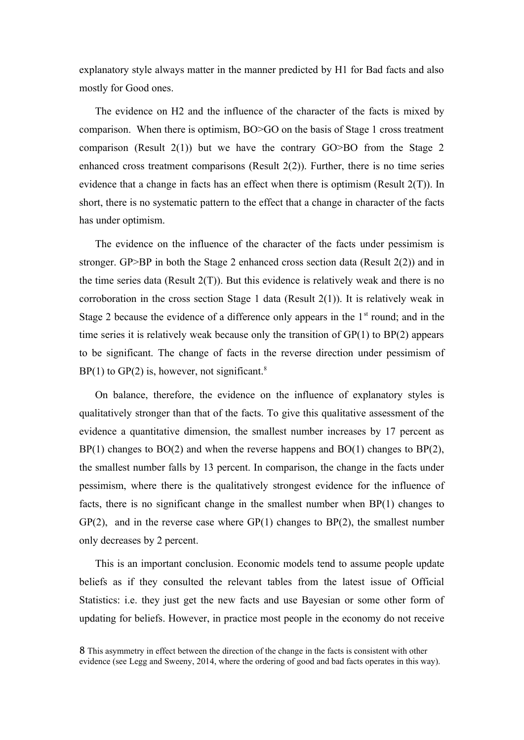explanatory style always matter in the manner predicted by H1 for Bad facts and also mostly for Good ones.

The evidence on H2 and the influence of the character of the facts is mixed by comparison. When there is optimism, BO>GO on the basis of Stage 1 cross treatment comparison (Result  $2(1)$ ) but we have the contrary GO>BO from the Stage 2 enhanced cross treatment comparisons (Result 2(2)). Further, there is no time series evidence that a change in facts has an effect when there is optimism (Result 2(T)). In short, there is no systematic pattern to the effect that a change in character of the facts has under optimism.

The evidence on the influence of the character of the facts under pessimism is stronger. GP>BP in both the Stage 2 enhanced cross section data (Result 2(2)) and in the time series data (Result  $2(T)$ ). But this evidence is relatively weak and there is no corroboration in the cross section Stage 1 data (Result 2(1)). It is relatively weak in Stage 2 because the evidence of a difference only appears in the  $1<sup>st</sup>$  round; and in the time series it is relatively weak because only the transition of GP(1) to BP(2) appears to be significant. The change of facts in the reverse direction under pessimism of  $BP(1)$  to  $GP(2)$  is, however, not significant.<sup>8</sup>

On balance, therefore, the evidence on the influence of explanatory styles is qualitatively stronger than that of the facts. To give this qualitative assessment of the evidence a quantitative dimension, the smallest number increases by 17 percent as  $BP(1)$  changes to  $BO(2)$  and when the reverse happens and  $BO(1)$  changes to  $BP(2)$ , the smallest number falls by 13 percent. In comparison, the change in the facts under pessimism, where there is the qualitatively strongest evidence for the influence of facts, there is no significant change in the smallest number when BP(1) changes to  $GP(2)$ , and in the reverse case where  $GP(1)$  changes to  $BP(2)$ , the smallest number only decreases by 2 percent.

This is an important conclusion. Economic models tend to assume people update beliefs as if they consulted the relevant tables from the latest issue of Official Statistics: i.e. they just get the new facts and use Bayesian or some other form of updating for beliefs. However, in practice most people in the economy do not receive

<sup>8</sup> This asymmetry in effect between the direction of the change in the facts is consistent with other evidence (see Legg and Sweeny, 2014, where the ordering of good and bad facts operates in this way).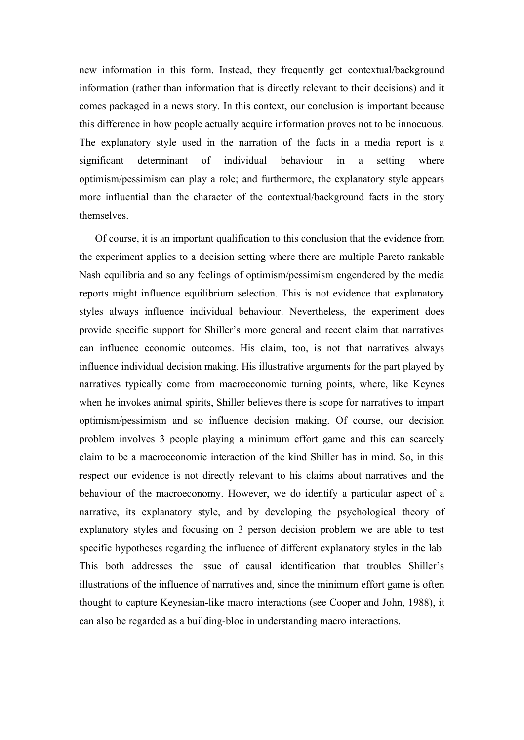new information in this form. Instead, they frequently get contextual/background information (rather than information that is directly relevant to their decisions) and it comes packaged in a news story. In this context, our conclusion is important because this difference in how people actually acquire information proves not to be innocuous. The explanatory style used in the narration of the facts in a media report is a significant determinant of individual behaviour in a setting where optimism/pessimism can play a role; and furthermore, the explanatory style appears more influential than the character of the contextual/background facts in the story themselves.

Of course, it is an important qualification to this conclusion that the evidence from the experiment applies to a decision setting where there are multiple Pareto rankable Nash equilibria and so any feelings of optimism/pessimism engendered by the media reports might influence equilibrium selection. This is not evidence that explanatory styles always influence individual behaviour. Nevertheless, the experiment does provide specific support for Shiller's more general and recent claim that narratives can influence economic outcomes. His claim, too, is not that narratives always influence individual decision making. His illustrative arguments for the part played by narratives typically come from macroeconomic turning points, where, like Keynes when he invokes animal spirits, Shiller believes there is scope for narratives to impart optimism/pessimism and so influence decision making. Of course, our decision problem involves 3 people playing a minimum effort game and this can scarcely claim to be a macroeconomic interaction of the kind Shiller has in mind. So, in this respect our evidence is not directly relevant to his claims about narratives and the behaviour of the macroeconomy. However, we do identify a particular aspect of a narrative, its explanatory style, and by developing the psychological theory of explanatory styles and focusing on 3 person decision problem we are able to test specific hypotheses regarding the influence of different explanatory styles in the lab. This both addresses the issue of causal identification that troubles Shiller's illustrations of the influence of narratives and, since the minimum effort game is often thought to capture Keynesian-like macro interactions (see Cooper and John, 1988), it can also be regarded as a building-bloc in understanding macro interactions.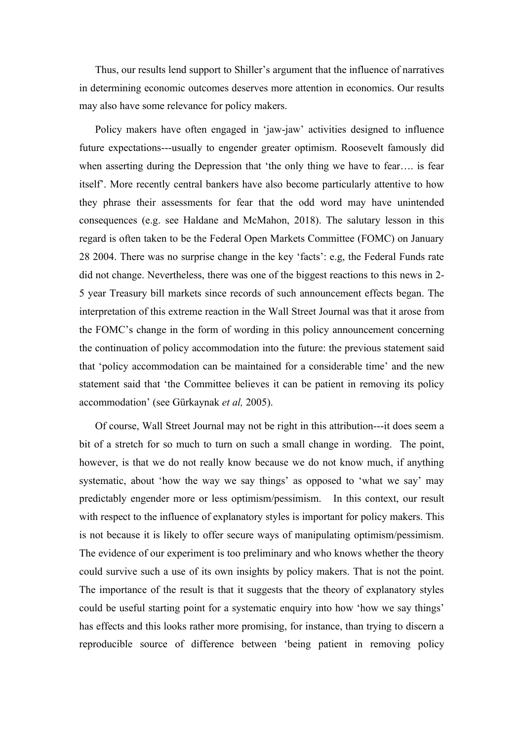Thus, our results lend support to Shiller's argument that the influence of narratives in determining economic outcomes deserves more attention in economics. Our results may also have some relevance for policy makers.

Policy makers have often engaged in 'jaw-jaw' activities designed to influence future expectations---usually to engender greater optimism. Roosevelt famously did when asserting during the Depression that 'the only thing we have to fear…. is fear itself'. More recently central bankers have also become particularly attentive to how they phrase their assessments for fear that the odd word may have unintended consequences (e.g. see Haldane and McMahon, 2018). The salutary lesson in this regard is often taken to be the Federal Open Markets Committee (FOMC) on January 28 2004. There was no surprise change in the key 'facts': e.g, the Federal Funds rate did not change. Nevertheless, there was one of the biggest reactions to this news in 2- 5 year Treasury bill markets since records of such announcement effects began. The interpretation of this extreme reaction in the Wall Street Journal was that it arose from the FOMC's change in the form of wording in this policy announcement concerning the continuation of policy accommodation into the future: the previous statement said that 'policy accommodation can be maintained for a considerable time' and the new statement said that 'the Committee believes it can be patient in removing its policy accommodation' (see Gürkaynak *et al,* 2005).

Of course, Wall Street Journal may not be right in this attribution---it does seem a bit of a stretch for so much to turn on such a small change in wording. The point, however, is that we do not really know because we do not know much, if anything systematic, about 'how the way we say things' as opposed to 'what we say' may predictably engender more or less optimism/pessimism. In this context, our result with respect to the influence of explanatory styles is important for policy makers. This is not because it is likely to offer secure ways of manipulating optimism/pessimism. The evidence of our experiment is too preliminary and who knows whether the theory could survive such a use of its own insights by policy makers. That is not the point. The importance of the result is that it suggests that the theory of explanatory styles could be useful starting point for a systematic enquiry into how 'how we say things' has effects and this looks rather more promising, for instance, than trying to discern a reproducible source of difference between 'being patient in removing policy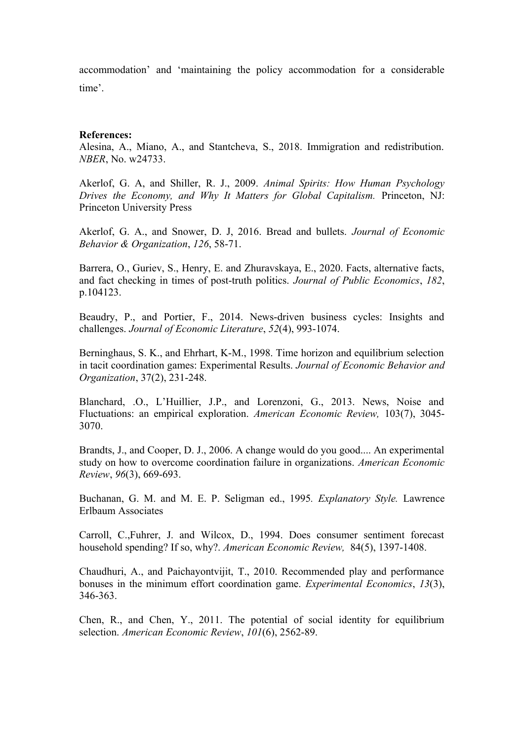accommodation' and 'maintaining the policy accommodation for a considerable time'.

#### **References:**

Alesina, A., Miano, A., and Stantcheva, S., 2018. Immigration and redistribution. *NBER*, No. w24733.

Akerlof, G. A, and Shiller, R. J., 2009. *Animal Spirits: How Human Psychology Drives the Economy, and Why It Matters for Global Capitalism.* Princeton, NJ: Princeton University Press

Akerlof, G. A., and Snower, D. J, 2016. Bread and bullets. *Journal of Economic Behavior & Organization*, *126*, 58-71.

Barrera, O., Guriev, S., Henry, E. and Zhuravskaya, E., 2020. Facts, alternative facts, and fact checking in times of post-truth politics. *Journal of Public Economics*, *182*, p.104123.

Beaudry, P., and Portier, F., 2014. News-driven business cycles: Insights and challenges. *Journal of Economic Literature*, *52*(4), 993-1074.

Berninghaus, S. K., and Ehrhart, K-M., 1998. Time horizon and equilibrium selection in tacit coordination games: Experimental Results. *Journal of Economic Behavior and Organization*, 37(2), 231-248.

Blanchard, .O., L'Huillier, J.P., and Lorenzoni, G., 2013. News, Noise and Fluctuations: an empirical exploration. *American Economic Review,* 103(7), 3045- 3070.

Brandts, J., and Cooper, D. J., 2006. A change would do you good.... An experimental study on how to overcome coordination failure in organizations. *American Economic Review*, *96*(3), 669-693.

Buchanan, G. M. and M. E. P. Seligman ed., 1995*. Explanatory Style.* Lawrence Erlbaum Associates

Carroll, C.,Fuhrer, J. and Wilcox, D., 1994. Does consumer sentiment forecast household spending? If so, why?. *American Economic Review,* 84(5), 1397-1408.

Chaudhuri, A., and Paichayontvijit, T., 2010. Recommended play and performance bonuses in the minimum effort coordination game. *Experimental Economics*, *13*(3), 346-363.

Chen, R., and Chen, Y., 2011. The potential of social identity for equilibrium selection. *American Economic Review*, *101*(6), 2562-89.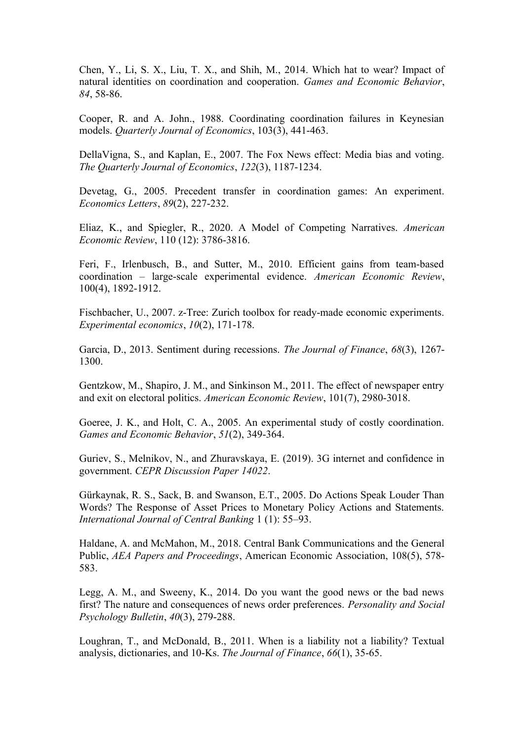Chen, Y., Li, S. X., Liu, T. X., and Shih, M., 2014. Which hat to wear? Impact of natural identities on coordination and cooperation. *Games and Economic Behavior*, *84*, 58-86.

Cooper, R. and A. John., 1988. Coordinating coordination failures in Keynesian models. *Quarterly Journal of Economics*, 103(3), 441-463.

DellaVigna, S., and Kaplan, E., 2007. The Fox News effect: Media bias and voting. *The Quarterly Journal of Economics*, *122*(3), 1187-1234.

Devetag, G., 2005. Precedent transfer in coordination games: An experiment. *Economics Letters*, *89*(2), 227-232.

Eliaz, K., and Spiegler, R., 2020. A Model of Competing Narratives. *American Economic Review*, 110 (12): 3786-3816.

Feri, F., Irlenbusch, B., and Sutter, M., 2010. Efficient gains from team-based coordination – large-scale experimental evidence. *American Economic Review*, 100(4), 1892-1912.

Fischbacher, U., 2007. z-Tree: Zurich toolbox for ready-made economic experiments. *Experimental economics*, *10*(2), 171-178.

Garcia, D., 2013. Sentiment during recessions. *The Journal of Finance*, *68*(3), 1267- 1300.

Gentzkow, M., Shapiro, J. M., and Sinkinson M., 2011. The effect of newspaper entry and exit on electoral politics. *American Economic Review*, 101(7), 2980-3018.

Goeree, J. K., and Holt, C. A., 2005. An experimental study of costly coordination. *Games and Economic Behavior*, *51*(2), 349-364.

Guriev, S., Melnikov, N., and Zhuravskaya, E. (2019). 3G internet and confidence in government. *CEPR Discussion Paper 14022*.

Gürkaynak, R. S., Sack, B. and Swanson, E.T., 2005. Do Actions Speak Louder Than Words? The Response of Asset Prices to Monetary Policy Actions and Statements. *International Journal of Central Banking* 1 (1): 55–93.

Haldane, A. and McMahon, M., 2018. Central Bank Communications and the General Public, *AEA Papers and Proceedings*, American Economic Association, 108(5), 578- 583.

Legg, A. M., and Sweeny, K., 2014. Do you want the good news or the bad news first? The nature and consequences of news order preferences. *Personality and Social Psychology Bulletin*, *40*(3), 279-288.

Loughran, T., and McDonald, B., 2011. When is a liability not a liability? Textual analysis, dictionaries, and 10-Ks. *The Journal of Finance*, 66(1), 35-65.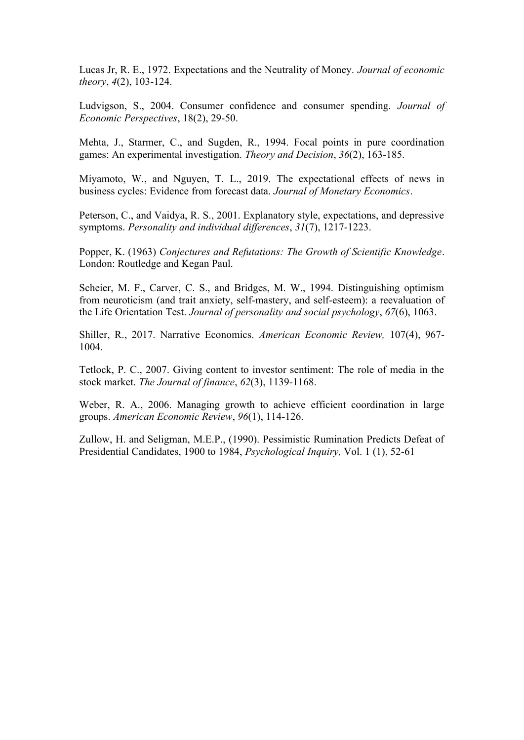Lucas Jr, R. E., 1972. Expectations and the Neutrality of Money. *Journal of economic theory*, *4*(2), 103-124.

Ludvigson, S., 2004. Consumer confidence and consumer spending. *Journal of Economic Perspectives*, 18(2), 29-50.

Mehta, J., Starmer, C., and Sugden, R., 1994. Focal points in pure coordination games: An experimental investigation. *Theory and Decision*, *36*(2), 163-185.

Miyamoto, W., and Nguyen, T. L., 2019. The expectational effects of news in business cycles: Evidence from forecast data. *Journal of Monetary Economics*.

Peterson, C., and Vaidya, R. S., 2001. Explanatory style, expectations, and depressive symptoms. *Personality and individual differences*, *31*(7), 1217-1223.

Popper, K. (1963) *Conjectures and Refutations: The Growth of Scientific Knowledge*. London: Routledge and Kegan Paul.

Scheier, M. F., Carver, C. S., and Bridges, M. W., 1994. Distinguishing optimism from neuroticism (and trait anxiety, self-mastery, and self-esteem): a reevaluation of the Life Orientation Test. *Journal of personality and social psychology*, *67*(6), 1063.

Shiller, R., 2017. Narrative Economics. *American Economic Review,* 107(4), 967- 1004.

Tetlock, P. C., 2007. Giving content to investor sentiment: The role of media in the stock market. *The Journal of finance*, *62*(3), 1139-1168.

Weber, R. A., 2006. Managing growth to achieve efficient coordination in large groups. *American Economic Review*, *96*(1), 114-126.

Zullow, H. and Seligman, M.E.P., (1990). Pessimistic Rumination Predicts Defeat of Presidential Candidates, 1900 to 1984, *Psychological Inquiry,* Vol. 1 (1), 52-61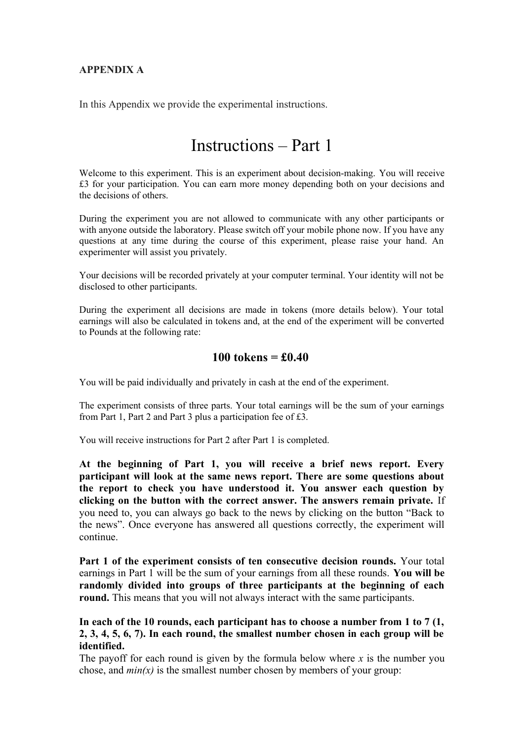### **APPENDIX A**

In this Appendix we provide the experimental instructions.

# Instructions – Part 1

Welcome to this experiment. This is an experiment about decision-making. You will receive £3 for your participation. You can earn more money depending both on your decisions and the decisions of others.

During the experiment you are not allowed to communicate with any other participants or with anyone outside the laboratory. Please switch off your mobile phone now. If you have any questions at any time during the course of this experiment, please raise your hand. An experimenter will assist you privately.

Your decisions will be recorded privately at your computer terminal. Your identity will not be disclosed to other participants.

During the experiment all decisions are made in tokens (more details below). Your total earnings will also be calculated in tokens and, at the end of the experiment will be converted to Pounds at the following rate:

### **100 tokens = £0.40**

You will be paid individually and privately in cash at the end of the experiment.

The experiment consists of three parts. Your total earnings will be the sum of your earnings from Part 1, Part 2 and Part 3 plus a participation fee of £3.

You will receive instructions for Part 2 after Part 1 is completed.

**At the beginning of Part 1, you will receive a brief news report. Every participant will look at the same news report. There are some questions about the report to check you have understood it. You answer each question by clicking on the button with the correct answer. The answers remain private.** If you need to, you can always go back to the news by clicking on the button "Back to the news". Once everyone has answered all questions correctly, the experiment will continue.

**Part 1 of the experiment consists of ten consecutive decision rounds.** Your total earnings in Part 1 will be the sum of your earnings from all these rounds. **You will be randomly divided into groups of three participants at the beginning of each round.** This means that you will not always interact with the same participants.

**In each of the 10 rounds, each participant has to choose a number from 1 to 7 (1, 2, 3, 4, 5, 6, 7). In each round, the smallest number chosen in each group will be identified.**

The payoff for each round is given by the formula below where  $x$  is the number you chose, and  $min(x)$  is the smallest number chosen by members of your group: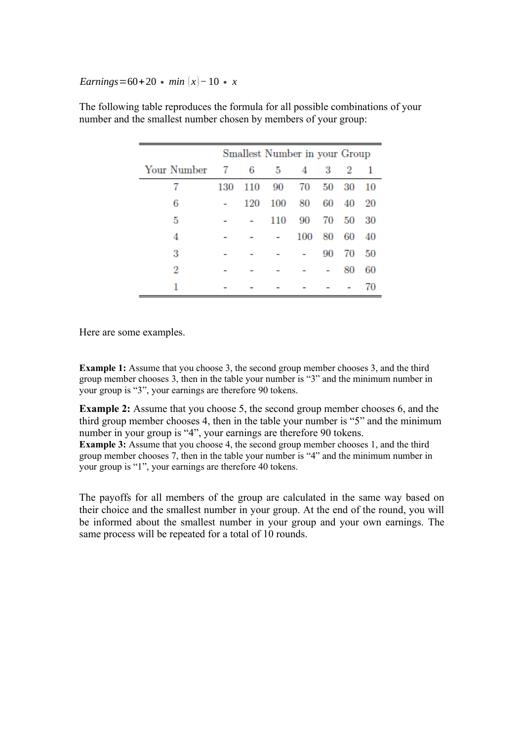#### *Earnings*=60+20 *∗ min*  $(x)$  – 10 *\* x*

|             |     | Smallest Number in your Group |     |     |    |       |     |
|-------------|-----|-------------------------------|-----|-----|----|-------|-----|
| Your Number | -7  | 6                             | 5   | 4   | 3  | -2    | -1  |
| 7           | 130 | 110                           | 90  | 70  | 50 | 30    | 10  |
| 6           |     | 120                           | 100 | 80  |    | 60 40 | -20 |
| 5           |     |                               | 110 | 90  | 70 | 50    | 30  |
| 4           |     |                               |     | 100 | 80 | 60    | 40  |
| 3           |     |                               |     |     | 90 | 70    | 50  |
| 2           |     |                               |     |     |    | 80    | 60  |
| 1           |     |                               |     |     |    |       | 70  |

The following table reproduces the formula for all possible combinations of your number and the smallest number chosen by members of your group:

Here are some examples.

**Example 1:** Assume that you choose 3, the second group member chooses 3, and the third group member chooses 3, then in the table your number is "3" and the minimum number in your group is "3", your earnings are therefore 90 tokens.

**Example 2:** Assume that you choose 5, the second group member chooses 6, and the third group member chooses 4, then in the table your number is "5" and the minimum number in your group is "4", your earnings are therefore 90 tokens. **Example 3:** Assume that you choose 4, the second group member chooses 1, and the third group member chooses 7, then in the table your number is "4" and the minimum number in your group is "1", your earnings are therefore 40 tokens.

The payoffs for all members of the group are calculated in the same way based on their choice and the smallest number in your group. At the end of the round, you will be informed about the smallest number in your group and your own earnings. The same process will be repeated for a total of 10 rounds.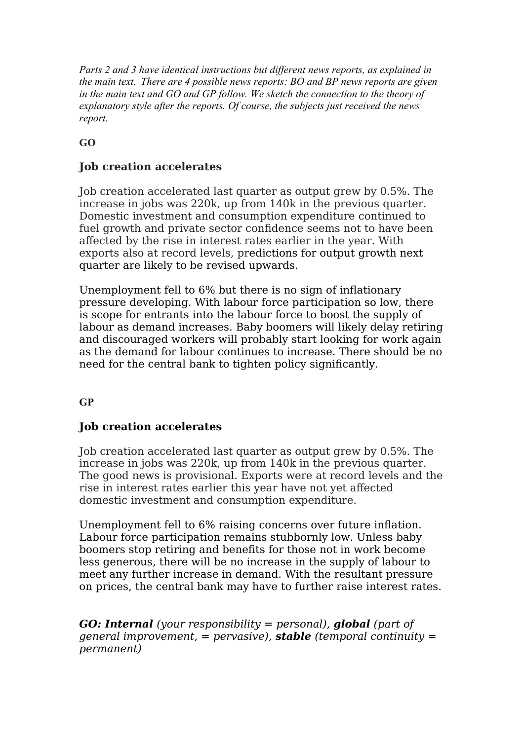*Parts 2 and 3 have identical instructions but different news reports, as explained in the main text. There are 4 possible news reports: BO and BP news reports are given in the main text and GO and GP follow. We sketch the connection to the theory of explanatory style after the reports. Of course, the subjects just received the news report.*

**GO**

# **Job creation accelerates**

Job creation accelerated last quarter as output grew by 0.5%. The increase in jobs was 220k, up from 140k in the previous quarter. Domestic investment and consumption expenditure continued to fuel growth and private sector confidence seems not to have been affected by the rise in interest rates earlier in the year. With exports also at record levels, predictions for output growth next quarter are likely to be revised upwards.

Unemployment fell to 6% but there is no sign of inflationary pressure developing. With labour force participation so low, there is scope for entrants into the labour force to boost the supply of labour as demand increases. Baby boomers will likely delay retiring and discouraged workers will probably start looking for work again as the demand for labour continues to increase. There should be no need for the central bank to tighten policy significantly.

# **GP**

# **Job creation accelerates**

Job creation accelerated last quarter as output grew by 0.5%. The increase in jobs was 220k, up from 140k in the previous quarter. The good news is provisional. Exports were at record levels and the rise in interest rates earlier this year have not yet affected domestic investment and consumption expenditure.

Unemployment fell to 6% raising concerns over future inflation. Labour force participation remains stubbornly low. Unless baby boomers stop retiring and benefits for those not in work become less generous, there will be no increase in the supply of labour to meet any further increase in demand. With the resultant pressure on prices, the central bank may have to further raise interest rates.

*GO: Internal (your responsibility = personal), global (part of general improvement, = pervasive), stable (temporal continuity = permanent)*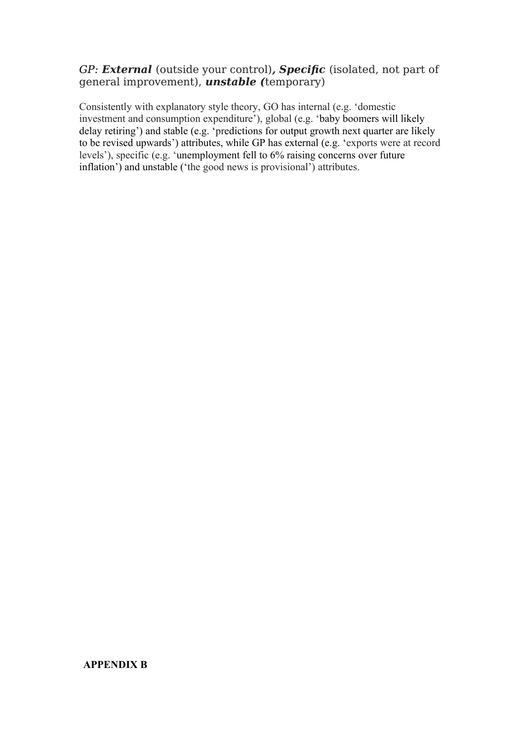## *GP: External* (outside your control)*, Specific* (isolated, not part of general improvement), *unstable (*temporary)

Consistently with explanatory style theory, GO has internal (e.g. 'domestic investment and consumption expenditure'), global (e.g. 'baby boomers will likely delay retiring') and stable (e.g. 'predictions for output growth next quarter are likely to be revised upwards') attributes, while GP has external (e.g. 'exports were at record levels'), specific (e.g. 'unemployment fell to 6% raising concerns over future inflation') and unstable ('the good news is provisional') attributes.

### **APPENDIX B**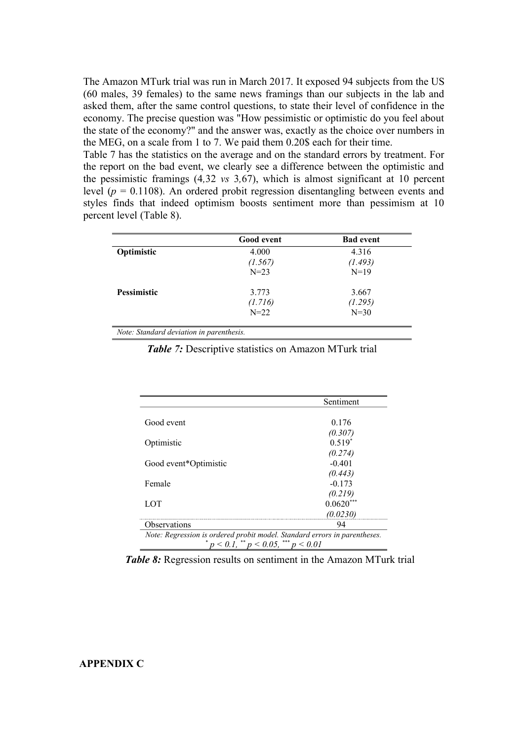The Amazon MTurk trial was run in March 2017. It exposed 94 subjects from the US (60 males, 39 females) to the same news framings than our subjects in the lab and asked them, after the same control questions, to state their level of confidence in the economy. The precise question was "How pessimistic or optimistic do you feel about the state of the economy?" and the answer was, exactly as the choice over numbers in the MEG, on a scale from 1 to 7. We paid them 0.20\$ each for their time.

Table 7 has the statistics on the average and on the standard errors by treatment. For the report on the bad event, we clearly see a difference between the optimistic and the pessimistic framings (4*,*32 *vs* 3*,*67), which is almost significant at 10 percent level (*p* = 0.1108). An ordered probit regression disentangling between events and styles finds that indeed optimism boosts sentiment more than pessimism at 10 percent level (Table 8).

|                                          | <b>Good</b> event | <b>Bad event</b> |
|------------------------------------------|-------------------|------------------|
| Optimistic                               | 4.000             | 4.316            |
|                                          | (1.567)           | (1.493)          |
|                                          | $N = 23$          | $N=19$           |
| <b>Pessimistic</b>                       | 3.773             | 3.667            |
|                                          | (1.716)           | (1.295)          |
|                                          | $N = 22$          | $N=30$           |
|                                          |                   |                  |
| Note: Standard deviation in parenthesis. |                   |                  |

*Table 7:* Descriptive statistics on Amazon MTurk trial

|                                                                           | Sentiment   |
|---------------------------------------------------------------------------|-------------|
|                                                                           |             |
| Good event                                                                | 0.176       |
|                                                                           | (0.307)     |
| Optimistic                                                                | $0.519*$    |
|                                                                           | (0.274)     |
| Good event*Optimistic                                                     | $-0.401$    |
|                                                                           | (0.443)     |
| Female                                                                    | $-0.173$    |
|                                                                           | (0.219)     |
| LOT                                                                       | $0.0620***$ |
|                                                                           | (0.0230)    |
| <b>Observations</b>                                                       | 94          |
| Note: Regression is ordered probit model. Standard errors in parentheses. |             |
| $p < 0.1$ , ** $p < 0.05$ , *** $p < 0.01$                                |             |

*Table 8:* Regression results on sentiment in the Amazon MTurk trial

#### **APPENDIX C**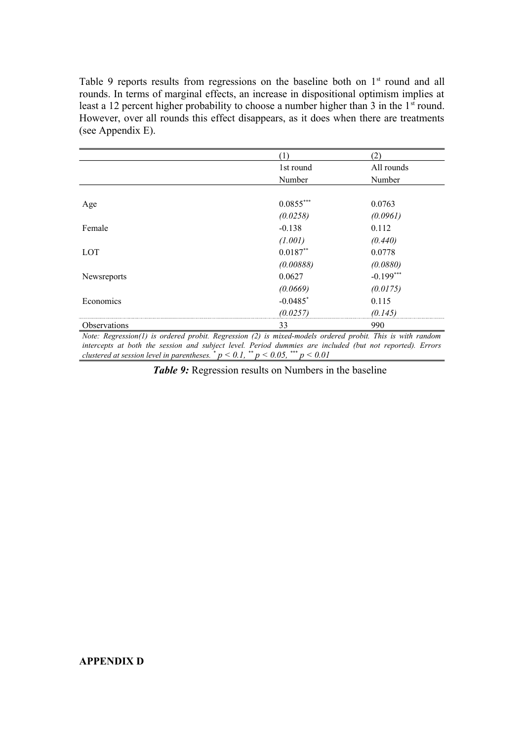Table 9 reports results from regressions on the baseline both on  $1<sup>st</sup>$  round and all rounds. In terms of marginal effects, an increase in dispositional optimism implies at least a 12 percent higher probability to choose a number higher than 3 in the  $1<sup>st</sup>$  round. However, over all rounds this effect disappears, as it does when there are treatments (see Appendix E).

|              | [1]         | (2)         |
|--------------|-------------|-------------|
|              | 1st round   | All rounds  |
|              | Number      | Number      |
|              |             |             |
| Age          | $0.0855***$ | 0.0763      |
|              | (0.0258)    | (0.0961)    |
| Female       | $-0.138$    | 0.112       |
|              | (1.001)     | (0.440)     |
| <b>LOT</b>   | $0.0187**$  | 0.0778      |
|              | (0.00888)   | (0.0880)    |
| Newsreports  | 0.0627      | $-0.199***$ |
|              | (0.0669)    | (0.0175)    |
| Economics    | $-0.0485$ * | 0.115       |
|              | (0.0257)    | (0.145)     |
| Observations | 33          | 990         |

*Note: Regression(1) is ordered probit. Regression (2) is mixed-models ordered probit. This is with random intercepts at both the session and subject level. Period dummies are included (but not reported). Errors clustered at session level in parentheses.*  $^{*}p < 0.1$ ,  $^{**}p < 0.05$ ,  $^{***}p < 0.01$ 

*Table 9:* Regression results on Numbers in the baseline

#### **APPENDIX D**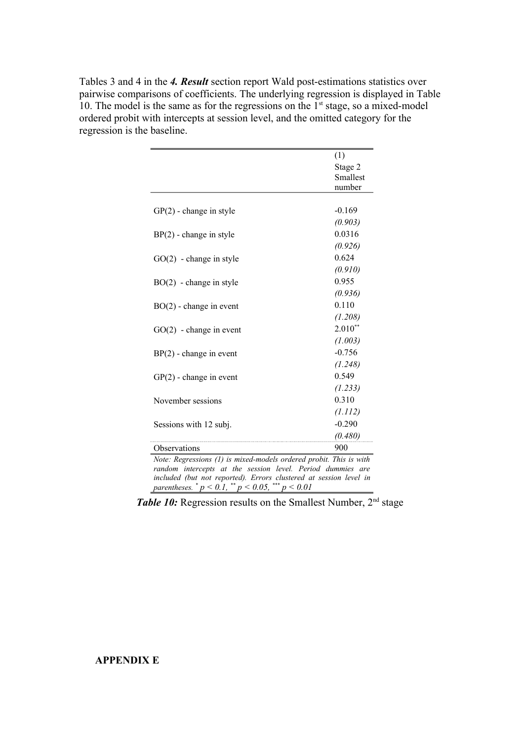Tables 3 and 4 in the *4. Result* section report Wald post-estimations statistics over pairwise comparisons of coefficients. The underlying regression is displayed in Table 10. The model is the same as for the regressions on the  $1<sup>st</sup>$  stage, so a mixed-model ordered probit with intercepts at session level, and the omitted category for the regression is the baseline.

|                                                                                                                                                                                                                                                                                            | (1)       |  |  |
|--------------------------------------------------------------------------------------------------------------------------------------------------------------------------------------------------------------------------------------------------------------------------------------------|-----------|--|--|
|                                                                                                                                                                                                                                                                                            | Stage 2   |  |  |
|                                                                                                                                                                                                                                                                                            | Smallest  |  |  |
|                                                                                                                                                                                                                                                                                            | number    |  |  |
|                                                                                                                                                                                                                                                                                            |           |  |  |
| $GP(2)$ - change in style                                                                                                                                                                                                                                                                  | $-0.169$  |  |  |
|                                                                                                                                                                                                                                                                                            | (0.903)   |  |  |
| $BP(2)$ - change in style                                                                                                                                                                                                                                                                  | 0.0316    |  |  |
|                                                                                                                                                                                                                                                                                            | (0.926)   |  |  |
| $GO(2)$ - change in style                                                                                                                                                                                                                                                                  | 0.624     |  |  |
|                                                                                                                                                                                                                                                                                            | (0.910)   |  |  |
| $BO(2)$ - change in style                                                                                                                                                                                                                                                                  | 0.955     |  |  |
|                                                                                                                                                                                                                                                                                            | (0.936)   |  |  |
| $BO(2)$ - change in event                                                                                                                                                                                                                                                                  | 0.110     |  |  |
|                                                                                                                                                                                                                                                                                            | (1.208)   |  |  |
| $GO(2)$ - change in event                                                                                                                                                                                                                                                                  | $2.010**$ |  |  |
|                                                                                                                                                                                                                                                                                            | (1.003)   |  |  |
| $BP(2)$ - change in event                                                                                                                                                                                                                                                                  | $-0.756$  |  |  |
|                                                                                                                                                                                                                                                                                            | (1.248)   |  |  |
| $GP(2)$ - change in event                                                                                                                                                                                                                                                                  | 0.549     |  |  |
|                                                                                                                                                                                                                                                                                            | (1.233)   |  |  |
| November sessions                                                                                                                                                                                                                                                                          | 0.310     |  |  |
|                                                                                                                                                                                                                                                                                            | (1.112)   |  |  |
| Sessions with 12 subj.                                                                                                                                                                                                                                                                     | $-0.290$  |  |  |
|                                                                                                                                                                                                                                                                                            | (0.480)   |  |  |
| Observations                                                                                                                                                                                                                                                                               | 900       |  |  |
| Note: Regressions (1) is mixed-models ordered probit. This is with                                                                                                                                                                                                                         |           |  |  |
| random intercepts at the session level. Period dummies are                                                                                                                                                                                                                                 |           |  |  |
| included (but not reported). Errors clustered at session level in                                                                                                                                                                                                                          |           |  |  |
| parentheses. $p < 0.1$ , $p < 0.05$ , $p < 0.05$ , $p > 0.05$ , $p > 0.05$ , $p > 0.05$ , $p > 0.05$ , $p > 0.05$ , $p > 0.05$ , $p > 0.05$ , $p > 0.05$ , $p > 0.05$ , $p > 0.05$ , $p > 0.05$ , $p > 0.05$ , $p > 0.05$ , $p > 0.05$ , $p > 0.05$ , $p > 0.05$ ,<br>$f^{***} p \le 0.01$ |           |  |  |

*Table 10:* Regression results on the Smallest Number, 2<sup>nd</sup> stage

# **APPENDIX E**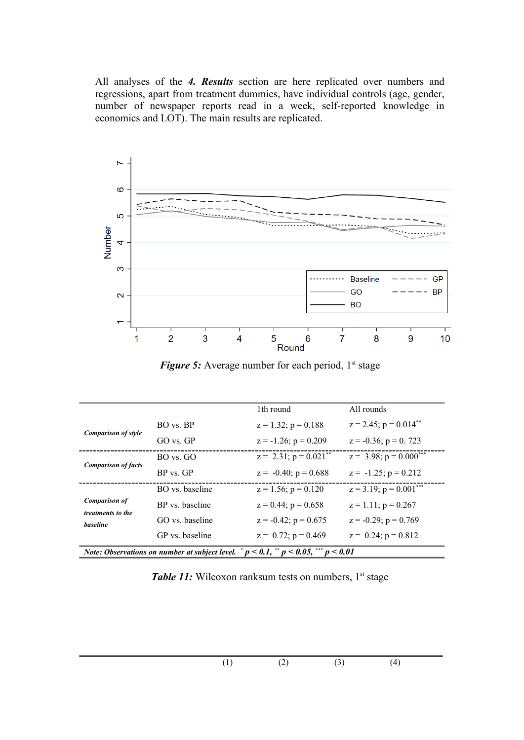All analyses of the *4. Results* section are here replicated over numbers and regressions, apart from treatment dummies, have individual controls (age, gender, number of newspaper reports read in a week, self-reported knowledge in economics and LOT). The main results are replicated.



*Figure 5:* Average number for each period, 1<sup>st</sup> stage

|                                                                                                               |                 | 1th round                   | All rounds                             |  |
|---------------------------------------------------------------------------------------------------------------|-----------------|-----------------------------|----------------------------------------|--|
| <b>Comparison of style</b>                                                                                    | BO vs. BP       | $z = 1.32$ ; $p = 0.188$    | $z = 2.45$ ; $p = 0.014$ <sup>**</sup> |  |
|                                                                                                               | $GO$ vs. $GP$   | $z = -1.26$ ; $p = 0.209$   | $z = -0.36$ ; $p = 0.723$              |  |
| <b>Comparison of facts</b>                                                                                    | $BO$ vs. $GO$   | $z = 2.31$ ; $p = 0.021$ ** | $z = 3.98$ ; $p = 0.000^{***}$         |  |
|                                                                                                               | $BP$ vs. $GP$   | $z = -0.40$ ; $p = 0.688$   | $z = -1.25$ ; $p = 0.212$              |  |
|                                                                                                               | BO vs. baseline | $z = 1.56$ ; $p = 0.120$    | $z = 3.19$ ; $p = 0.001***$            |  |
| <b>Comparison of</b><br>treatments to the<br>baseline                                                         | BP vs. baseline | $z = 0.44$ ; $p = 0.658$    | $z = 1.11$ ; $p = 0.267$               |  |
|                                                                                                               | GO vs. baseline | $z = -0.42$ ; $p = 0.675$   | $z = -0.29$ ; $p = 0.769$              |  |
|                                                                                                               | GP vs. baseline | $z = 0.72$ ; $p = 0.469$    | $z = 0.24$ ; $p = 0.812$               |  |
| <i>Note:</i> Observations on number at subject level. $p < 0.1$ , $\frac{p}{q} < 0.05$ , $\frac{p}{q} < 0.01$ |                 |                             |                                        |  |

Table 11: Wilcoxon ranksum tests on numbers, 1<sup>st</sup> stage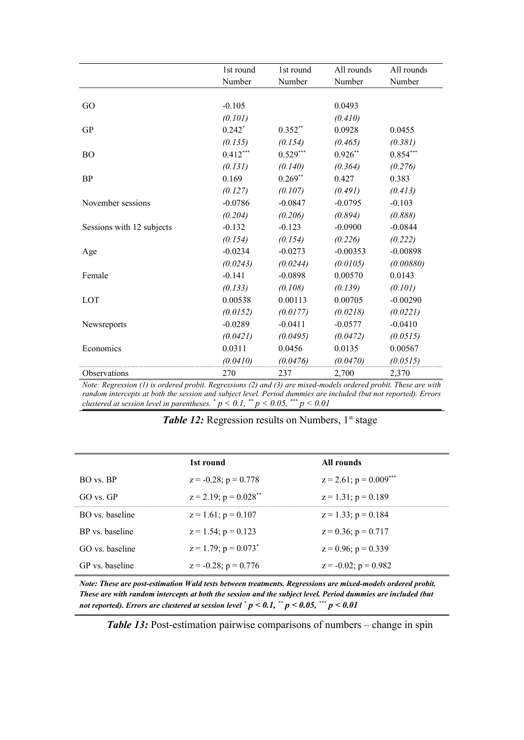|                           | 1st round  | 1st round  | All rounds | All rounds |
|---------------------------|------------|------------|------------|------------|
|                           | Number     | Number     | Number     | Number     |
|                           |            |            |            |            |
| GO                        | $-0.105$   |            | 0.0493     |            |
|                           | (0.101)    |            | (0.410)    |            |
| <b>GP</b>                 | $0.242*$   | $0.352**$  | 0.0928     | 0.0455     |
|                           | (0.135)    | (0.154)    | (0.465)    | (0.381)    |
| <b>BO</b>                 | $0.412***$ | $0.529***$ | $0.926**$  | $0.854***$ |
|                           | (0.131)    | (0.140)    | (0.364)    | (0.276)    |
| <b>BP</b>                 | 0.169      | $0.269**$  | 0.427      | 0.383      |
|                           | (0.127)    | (0.107)    | (0.491)    | (0.413)    |
| November sessions         | $-0.0786$  | $-0.0847$  | $-0.0795$  | $-0.103$   |
|                           | (0.204)    | (0.206)    | (0.894)    | (0.888)    |
| Sessions with 12 subjects | $-0.132$   | $-0.123$   | $-0.0900$  | $-0.0844$  |
|                           | (0.154)    | (0.154)    | (0.226)    | (0.222)    |
| Age                       | $-0.0234$  | $-0.0273$  | $-0.00353$ | $-0.00898$ |
|                           | (0.0243)   | (0.0244)   | (0.0105)   | (0.00880)  |
| Female                    | $-0.141$   | $-0.0898$  | 0.00570    | 0.0143     |
|                           | (0.133)    | (0.108)    | (0.139)    | (0.101)    |
| LOT                       | 0.00538    | 0.00113    | 0.00705    | $-0.00290$ |
|                           | (0.0152)   | (0.0177)   | (0.0218)   | (0.0221)   |
| Newsreports               | $-0.0289$  | $-0.0411$  | $-0.0577$  | $-0.0410$  |
|                           | (0.0421)   | (0.0495)   | (0.0472)   | (0.0515)   |
| Economics                 | 0.0311     | 0.0456     | 0.0135     | 0.00567    |
|                           | (0.0410)   | (0.0476)   | (0.0470)   | (0.0515)   |
| Observations              | 270        | 237        | 2,700      | 2,370      |

*Note: Regression (1) is ordered probit. Regressions (2) and (3) are mixed-models ordered probit. These are with random intercepts at both the session and subject level. Period dummies are included (but not reported). Errors clustered at session level in parentheses.*  $^{*}p < 0.1$ ,  $^{**}p < 0.05$ ,  $^{***}p < 0.01$ 

| <b>Table 12:</b> Regression results on Numbers, 1 <sup>st</sup> stage |  |  |  |
|-----------------------------------------------------------------------|--|--|--|
|-----------------------------------------------------------------------|--|--|--|

|                 | 1st round                              | All rounds                   |
|-----------------|----------------------------------------|------------------------------|
| BO vs. BP       | $z = -0.28$ ; $p = 0.778$              | $z = 2.61$ ; $p = 0.009$ *** |
| $GO$ vs. $GP$   | $z = 2.19$ ; $p = 0.028$ <sup>**</sup> | $z = 1.31$ ; $p = 0.189$     |
| BO vs. baseline | $z = 1.61$ ; $p = 0.107$               | $z = 1.33$ ; $p = 0.184$     |
| BP vs. baseline | $z = 1.54$ ; $p = 0.123$               | $z = 0.36$ ; $p = 0.717$     |
| GO vs. baseline | $z = 1.79$ ; $p = 0.073$ <sup>*</sup>  | $z = 0.96$ ; $p = 0.339$     |
| GP vs. baseline | $z = -0.28$ ; $p = 0.776$              | $z = -0.02$ ; $p = 0.982$    |
|                 |                                        |                              |

*Note: These are post-estimation Wald tests between treatments. Regressions are mixed-models ordered probit. These are with random intercepts at both the session and the subject level. Period dummies are included (but not reported). Errors are clustered at session level \* p < 0.1, \*\* p < 0.05, \*\*\* p < 0.01*

*Table 13:* Post-estimation pairwise comparisons of numbers – change in spin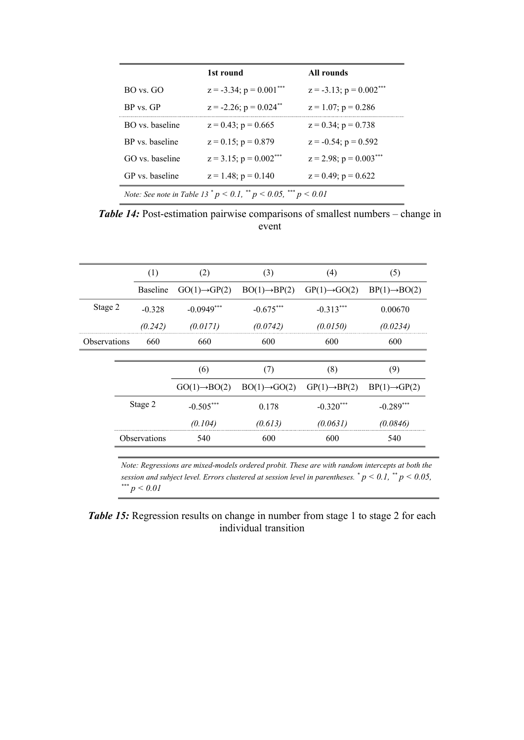|                                                                                     | 1st round                               | All rounds                   |  |
|-------------------------------------------------------------------------------------|-----------------------------------------|------------------------------|--|
| $BO$ vs. $GO$                                                                       | $z = -3.34$ ; $p = 0.001***$            | $z = -3.13$ ; $p = 0.002***$ |  |
| BP vs GP                                                                            | $z = -2.26$ ; $p = 0.024$ <sup>**</sup> | $z = 1.07$ ; $p = 0.286$     |  |
| BO vs baseline                                                                      | $z = 0.43$ ; $p = 0.665$                | $z = 0.34$ ; $p = 0.738$     |  |
| BP vs baseline                                                                      | $z = 0.15$ ; $p = 0.879$                | $z = -0.54$ ; $p = 0.592$    |  |
| GO vs. baseline                                                                     | $z = 3.15$ ; $p = 0.002***$             | $z = 2.98$ ; $p = 0.003***$  |  |
| GP vs. baseline                                                                     | $z = 1.48$ ; $p = 0.140$                | $z = 0.49$ ; $p = 0.622$     |  |
| <i>Note:</i> See note in Table 13 $^*$ p < 0.1, $^{**}$ p < 0.05, $^{***}$ p < 0.01 |                                         |                              |  |

**Table 14:** Post-estimation pairwise comparisons of smallest numbers – change in event

|                     | (1)                 | (2)                       | (3)                       | (4)                       | (5)                       |
|---------------------|---------------------|---------------------------|---------------------------|---------------------------|---------------------------|
|                     | <b>Baseline</b>     | $GO(1) \rightarrow GP(2)$ | $BO(1) \rightarrow BP(2)$ | $GP(1) \rightarrow GO(2)$ | $BP(1) \rightarrow BO(2)$ |
| Stage 2             | $-0.328$            | $-0.0949***$              | $-0.675***$               | $-0.313***$               | 0.00670                   |
|                     | (0.242)             | (0.0171)                  | (0.0742)                  | (0.0150)                  | (0.0234)                  |
| <b>Observations</b> | 660                 | 660                       | 600                       | 600                       | 600                       |
|                     |                     |                           |                           |                           |                           |
|                     |                     | (6)                       | (7)                       | (8)                       | (9)                       |
|                     |                     | $GO(1) \rightarrow BO(2)$ | $BO(1) \rightarrow GO(2)$ | $GP(1) \rightarrow BP(2)$ | $BP(1) \rightarrow GP(2)$ |
|                     | Stage 2             | $-0.505***$               | 0.178                     | $-0.320***$               | $-0.289***$               |
|                     |                     | (0.104)                   | (0.613)                   | (0.0631)                  | (0.0846)                  |
|                     | <b>Observations</b> | 540                       | 600                       | 600                       | 540                       |

*Note: Regressions are mixed-models ordered probit. These are with random intercepts at both the session and subject level. Errors clustered at session level in parentheses. \* p < 0.1, \*\* p < 0.05, \*\*\* p < 0.01*

*Table 15:* Regression results on change in number from stage 1 to stage 2 for each individual transition